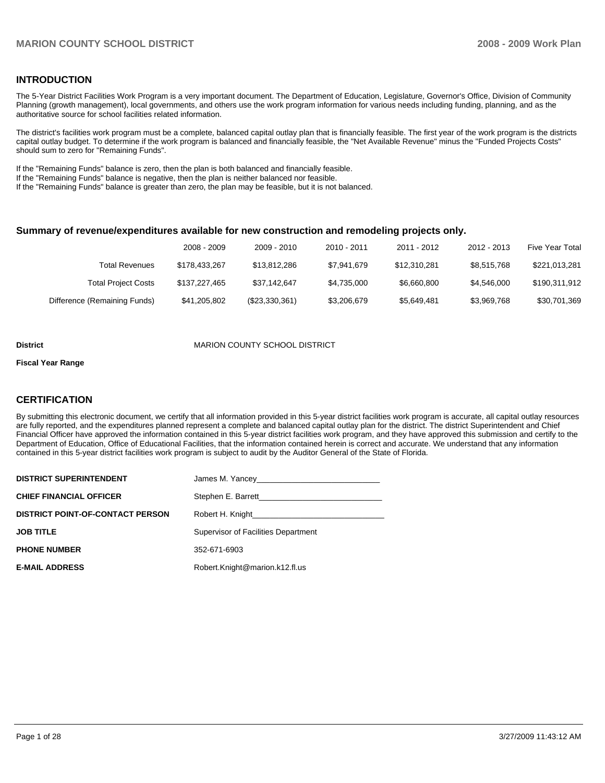### **INTRODUCTION**

The 5-Year District Facilities Work Program is a very important document. The Department of Education, Legislature, Governor's Office, Division of Community Planning (growth management), local governments, and others use the work program information for various needs including funding, planning, and as the authoritative source for school facilities related information.

The district's facilities work program must be a complete, balanced capital outlay plan that is financially feasible. The first year of the work program is the districts capital outlay budget. To determine if the work program is balanced and financially feasible, the "Net Available Revenue" minus the "Funded Projects Costs" should sum to zero for "Remaining Funds".

If the "Remaining Funds" balance is zero, then the plan is both balanced and financially feasible.

If the "Remaining Funds" balance is negative, then the plan is neither balanced nor feasible.

If the "Remaining Funds" balance is greater than zero, the plan may be feasible, but it is not balanced.

### **Summary of revenue/expenditures available for new construction and remodeling projects only.**

|                              | 2008 - 2009   | 2009 - 2010    | 2010 - 2011 | 2011 - 2012  | 2012 - 2013 | <b>Five Year Total</b> |
|------------------------------|---------------|----------------|-------------|--------------|-------------|------------------------|
| <b>Total Revenues</b>        | \$178.433.267 | \$13,812,286   | \$7.941.679 | \$12.310.281 | \$8.515.768 | \$221,013,281          |
| <b>Total Project Costs</b>   | \$137,227,465 | \$37.142.647   | \$4.735.000 | \$6,660,800  | \$4,546,000 | \$190,311,912          |
| Difference (Remaining Funds) | \$41,205,802  | (\$23,330,361) | \$3,206,679 | \$5,649,481  | \$3,969,768 | \$30,701,369           |

#### **District** MARION COUNTY SCHOOL DISTRICT

#### **Fiscal Year Range**

### **CERTIFICATION**

By submitting this electronic document, we certify that all information provided in this 5-year district facilities work program is accurate, all capital outlay resources are fully reported, and the expenditures planned represent a complete and balanced capital outlay plan for the district. The district Superintendent and Chief Financial Officer have approved the information contained in this 5-year district facilities work program, and they have approved this submission and certify to the Department of Education, Office of Educational Facilities, that the information contained herein is correct and accurate. We understand that any information contained in this 5-year district facilities work program is subject to audit by the Auditor General of the State of Florida.

| <b>DISTRICT SUPERINTENDENT</b>          |                                     |
|-----------------------------------------|-------------------------------------|
| <b>CHIEF FINANCIAL OFFICER</b>          |                                     |
| <b>DISTRICT POINT-OF-CONTACT PERSON</b> |                                     |
| <b>JOB TITLE</b>                        | Supervisor of Facilities Department |
| <b>PHONE NUMBER</b>                     | 352-671-6903                        |
| <b>E-MAIL ADDRESS</b>                   | Robert.Knight@marion.k12.fl.us      |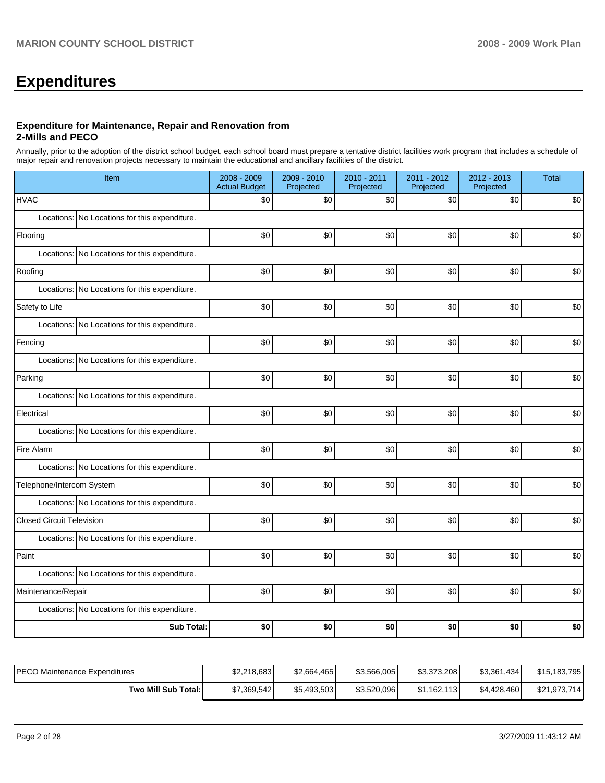# **Expenditures**

### **Expenditure for Maintenance, Repair and Renovation from 2-Mills and PECO**

Annually, prior to the adoption of the district school budget, each school board must prepare a tentative district facilities work program that includes a schedule of major repair and renovation projects necessary to maintain the educational and ancillary facilities of the district.

| Item                                          | 2008 - 2009<br><b>Actual Budget</b> | 2009 - 2010<br>Projected | 2010 - 2011<br>Projected | 2011 - 2012<br>Projected | 2012 - 2013<br>Projected | <b>Total</b> |  |  |  |  |
|-----------------------------------------------|-------------------------------------|--------------------------|--------------------------|--------------------------|--------------------------|--------------|--|--|--|--|
| <b>HVAC</b>                                   | \$0                                 | \$0                      | \$0                      | \$0                      | \$0                      | \$0          |  |  |  |  |
| Locations: No Locations for this expenditure. |                                     |                          |                          |                          |                          |              |  |  |  |  |
| Flooring                                      | \$0                                 | \$0                      | \$0                      | \$0                      | \$0                      | \$0          |  |  |  |  |
| Locations: No Locations for this expenditure. |                                     |                          |                          |                          |                          |              |  |  |  |  |
| Roofing                                       | \$0                                 | \$0                      | \$0                      | \$0                      | \$0                      | \$0          |  |  |  |  |
| Locations: No Locations for this expenditure. |                                     |                          |                          |                          |                          |              |  |  |  |  |
| Safety to Life                                | \$0                                 | \$0                      | \$0                      | \$0                      | \$0                      | \$0          |  |  |  |  |
| Locations: No Locations for this expenditure. |                                     |                          |                          |                          |                          |              |  |  |  |  |
| Fencing                                       | \$0                                 | \$0                      | \$0                      | \$0                      | \$0                      | \$0          |  |  |  |  |
| Locations: No Locations for this expenditure. |                                     |                          |                          |                          |                          |              |  |  |  |  |
| Parking                                       | \$0                                 | \$0                      | \$0                      | \$0                      | \$0                      | \$0          |  |  |  |  |
| Locations: No Locations for this expenditure. |                                     |                          |                          |                          |                          |              |  |  |  |  |
| Electrical                                    | \$0                                 | \$0                      | \$0                      | \$0                      | \$0                      | \$0          |  |  |  |  |
| Locations: No Locations for this expenditure. |                                     |                          |                          |                          |                          |              |  |  |  |  |
| Fire Alarm                                    | \$0                                 | \$0                      | \$0                      | \$0                      | \$0                      | \$0          |  |  |  |  |
| Locations: No Locations for this expenditure. |                                     |                          |                          |                          |                          |              |  |  |  |  |
| Telephone/Intercom System                     | \$0                                 | \$0                      | \$0                      | \$0                      | \$0                      | \$0          |  |  |  |  |
| Locations: No Locations for this expenditure. |                                     |                          |                          |                          |                          |              |  |  |  |  |
| <b>Closed Circuit Television</b>              | \$0                                 | \$0                      | \$0                      | \$0                      | \$0                      | \$0          |  |  |  |  |
| Locations: No Locations for this expenditure. |                                     |                          |                          |                          |                          |              |  |  |  |  |
| Paint                                         | \$0                                 | \$0                      | \$0                      | \$0                      | \$0                      | \$0          |  |  |  |  |
| Locations: No Locations for this expenditure. |                                     |                          |                          |                          |                          |              |  |  |  |  |
| Maintenance/Repair                            | \$0                                 | \$0                      | \$0                      | \$0                      | \$0                      | \$0          |  |  |  |  |
| Locations: No Locations for this expenditure. |                                     |                          |                          |                          |                          |              |  |  |  |  |
| <b>Sub Total:</b>                             | \$0                                 | \$0                      | \$0                      | \$0                      | \$0                      | \$0          |  |  |  |  |

| IPECO Maintenance Expenditures | \$2,218,683 | \$2.664.465 | \$3,566,005 | \$3,373,208 | \$3,361,434 | \$15,183,795 |
|--------------------------------|-------------|-------------|-------------|-------------|-------------|--------------|
| Two Mill Sub Total:            | \$7,369,542 | \$5,493,503 | \$3,520,096 | \$1,162,113 | \$4,428,460 | \$21,973,714 |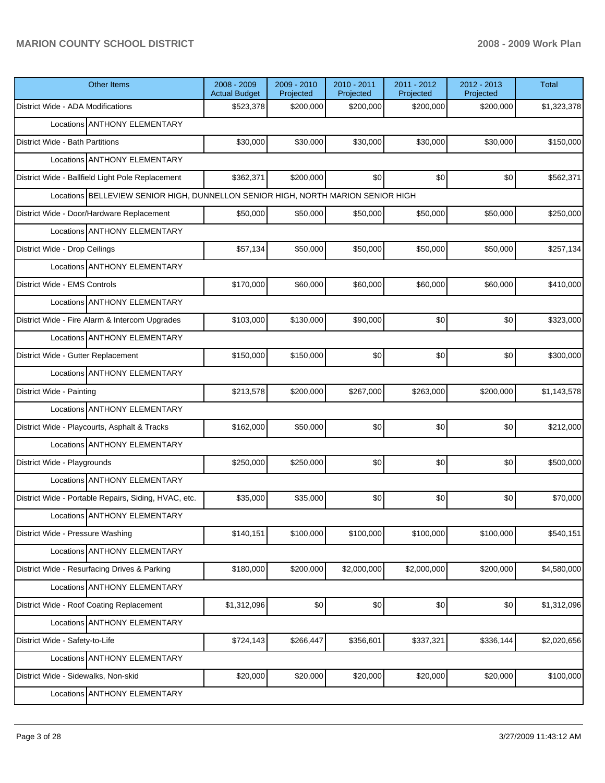| <b>Other Items</b>                                                               | 2008 - 2009<br><b>Actual Budget</b> | 2009 - 2010<br>Projected | 2010 - 2011<br>Projected | 2011 - 2012<br>Projected | 2012 - 2013<br>Projected | <b>Total</b> |  |  |  |  |  |
|----------------------------------------------------------------------------------|-------------------------------------|--------------------------|--------------------------|--------------------------|--------------------------|--------------|--|--|--|--|--|
| District Wide - ADA Modifications                                                | \$523,378                           | \$200,000                | \$200,000                | \$200,000                | \$200,000                | \$1,323,378  |  |  |  |  |  |
| Locations ANTHONY ELEMENTARY                                                     |                                     |                          |                          |                          |                          |              |  |  |  |  |  |
| District Wide - Bath Partitions                                                  | \$30,000                            | \$30,000                 | \$30,000                 | \$30,000                 | \$30,000                 | \$150,000    |  |  |  |  |  |
| Locations ANTHONY ELEMENTARY                                                     |                                     |                          |                          |                          |                          |              |  |  |  |  |  |
| District Wide - Ballfield Light Pole Replacement                                 | \$362,371                           | \$200,000                | \$0                      | \$0                      | \$0                      | \$562,371    |  |  |  |  |  |
| Locations BELLEVIEW SENIOR HIGH, DUNNELLON SENIOR HIGH, NORTH MARION SENIOR HIGH |                                     |                          |                          |                          |                          |              |  |  |  |  |  |
| District Wide - Door/Hardware Replacement                                        | \$50,000                            | \$50,000                 | \$50,000                 | \$50,000                 | \$50,000                 | \$250,000    |  |  |  |  |  |
| Locations ANTHONY ELEMENTARY                                                     |                                     |                          |                          |                          |                          |              |  |  |  |  |  |
| District Wide - Drop Ceilings                                                    | \$57,134                            | \$50,000                 | \$50,000                 | \$50,000                 | \$50,000                 | \$257,134    |  |  |  |  |  |
| Locations ANTHONY ELEMENTARY                                                     |                                     |                          |                          |                          |                          |              |  |  |  |  |  |
| District Wide - EMS Controls                                                     | \$170,000                           | \$60,000                 | \$60,000                 | \$60,000                 | \$60,000                 | \$410,000    |  |  |  |  |  |
| Locations ANTHONY ELEMENTARY                                                     |                                     |                          |                          |                          |                          |              |  |  |  |  |  |
| District Wide - Fire Alarm & Intercom Upgrades                                   | \$103,000                           | \$130,000                | \$90,000                 | \$0                      | \$0                      | \$323,000    |  |  |  |  |  |
| Locations ANTHONY ELEMENTARY                                                     |                                     |                          |                          |                          |                          |              |  |  |  |  |  |
| District Wide - Gutter Replacement                                               | \$150,000                           | \$150,000                | \$0                      | \$0                      | \$0                      | \$300,000    |  |  |  |  |  |
| Locations ANTHONY ELEMENTARY                                                     |                                     |                          |                          |                          |                          |              |  |  |  |  |  |
| District Wide - Painting                                                         | \$213,578                           | \$200,000                | \$267,000                | \$263,000                | \$200,000                | \$1,143,578  |  |  |  |  |  |
| Locations ANTHONY ELEMENTARY                                                     |                                     |                          |                          |                          |                          |              |  |  |  |  |  |
| District Wide - Playcourts, Asphalt & Tracks                                     | \$162,000                           | \$50,000                 | \$0                      | \$0                      | \$0                      | \$212,000    |  |  |  |  |  |
| Locations ANTHONY ELEMENTARY                                                     |                                     |                          |                          |                          |                          |              |  |  |  |  |  |
| District Wide - Playgrounds                                                      | \$250,000                           | \$250,000                | \$0                      | \$0                      | \$0                      | \$500,000    |  |  |  |  |  |
| Locations ANTHONY ELEMENTARY                                                     |                                     |                          |                          |                          |                          |              |  |  |  |  |  |
| District Wide - Portable Repairs, Siding, HVAC, etc.                             | \$35,000                            | \$35,000                 | \$0                      | \$0                      | \$0                      | \$70,000     |  |  |  |  |  |
| Locations ANTHONY ELEMENTARY                                                     |                                     |                          |                          |                          |                          |              |  |  |  |  |  |
| District Wide - Pressure Washing                                                 | \$140,151                           | \$100,000                | \$100,000                | \$100,000                | \$100,000                | \$540,151    |  |  |  |  |  |
| Locations ANTHONY ELEMENTARY                                                     |                                     |                          |                          |                          |                          |              |  |  |  |  |  |
| District Wide - Resurfacing Drives & Parking                                     | \$180,000                           | \$200,000                | \$2,000,000              | \$2,000,000              | \$200,000                | \$4,580,000  |  |  |  |  |  |
| Locations ANTHONY ELEMENTARY                                                     |                                     |                          |                          |                          |                          |              |  |  |  |  |  |
| District Wide - Roof Coating Replacement                                         | \$1,312,096                         | \$0                      | \$0                      | \$0                      | \$0                      | \$1,312,096  |  |  |  |  |  |
| Locations ANTHONY ELEMENTARY                                                     |                                     |                          |                          |                          |                          |              |  |  |  |  |  |
| District Wide - Safety-to-Life                                                   | \$724,143                           | \$266,447                | \$356,601                | \$337,321                | \$336,144                | \$2,020,656  |  |  |  |  |  |
| Locations ANTHONY ELEMENTARY                                                     |                                     |                          |                          |                          |                          |              |  |  |  |  |  |
| District Wide - Sidewalks, Non-skid                                              | \$20,000                            | \$20,000                 | \$20,000                 | \$20,000                 | \$20,000                 | \$100,000    |  |  |  |  |  |
| Locations ANTHONY ELEMENTARY                                                     |                                     |                          |                          |                          |                          |              |  |  |  |  |  |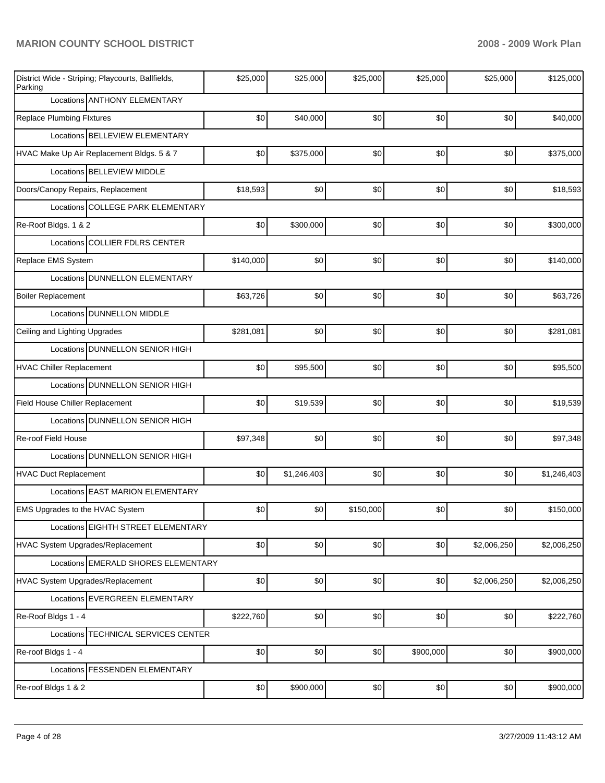| District Wide - Striping; Playcourts, Ballfields,<br>Parking | \$25,000                          | \$25,000    | \$25,000  | \$25,000  | \$25,000    | \$125,000   |  |  |  |  |
|--------------------------------------------------------------|-----------------------------------|-------------|-----------|-----------|-------------|-------------|--|--|--|--|
| Locations ANTHONY ELEMENTARY                                 |                                   |             |           |           |             |             |  |  |  |  |
| <b>Replace Plumbing Flxtures</b>                             | \$0                               | \$40,000    | \$0       | \$0       | \$0         | \$40,000    |  |  |  |  |
| Locations BELLEVIEW ELEMENTARY                               |                                   |             |           |           |             |             |  |  |  |  |
| HVAC Make Up Air Replacement Bldgs. 5 & 7                    | \$0                               | \$375,000   | \$0       | \$0       | \$0         | \$375,000   |  |  |  |  |
| Locations BELLEVIEW MIDDLE                                   |                                   |             |           |           |             |             |  |  |  |  |
| Doors/Canopy Repairs, Replacement                            | \$18,593                          | \$0         | \$0       | \$0       | \$0         | \$18,593    |  |  |  |  |
|                                                              | Locations COLLEGE PARK ELEMENTARY |             |           |           |             |             |  |  |  |  |
| Re-Roof Bldgs. 1 & 2                                         | \$0                               | \$300,000   | \$0       | \$0       | \$0         | \$300,000   |  |  |  |  |
| Locations COLLIER FDLRS CENTER                               |                                   |             |           |           |             |             |  |  |  |  |
| Replace EMS System                                           | \$140,000                         | \$0         | \$0       | \$0       | \$0         | \$140,000   |  |  |  |  |
| Locations DUNNELLON ELEMENTARY                               |                                   |             |           |           |             |             |  |  |  |  |
| <b>Boiler Replacement</b>                                    | \$63,726                          | \$0         | \$0       | \$0       | \$0         | \$63,726    |  |  |  |  |
| Locations DUNNELLON MIDDLE                                   |                                   |             |           |           |             |             |  |  |  |  |
| Ceiling and Lighting Upgrades                                | \$281,081                         | \$0         | \$0       | \$0       | \$0         | \$281,081   |  |  |  |  |
| Locations DUNNELLON SENIOR HIGH                              |                                   |             |           |           |             |             |  |  |  |  |
| <b>HVAC Chiller Replacement</b>                              | \$0                               | \$95,500    | \$0       | \$0       | \$0         | \$95,500    |  |  |  |  |
| Locations   DUNNELLON SENIOR HIGH                            |                                   |             |           |           |             |             |  |  |  |  |
| Field House Chiller Replacement                              | \$0                               | \$19,539    | \$0       | \$0       | \$0         | \$19,539    |  |  |  |  |
| Locations DUNNELLON SENIOR HIGH                              |                                   |             |           |           |             |             |  |  |  |  |
| Re-roof Field House                                          | \$97,348                          | \$0         | \$0       | \$0       | \$0         | \$97,348    |  |  |  |  |
| Locations DUNNELLON SENIOR HIGH                              |                                   |             |           |           |             |             |  |  |  |  |
| <b>HVAC Duct Replacement</b>                                 | \$0                               | \$1,246,403 | \$0       | \$0       | \$0         | \$1,246,403 |  |  |  |  |
| Locations EAST MARION ELEMENTARY                             |                                   |             |           |           |             |             |  |  |  |  |
| EMS Upgrades to the HVAC System                              | \$0                               | \$0         | \$150,000 | \$0       | \$0         | \$150,000   |  |  |  |  |
| Locations EIGHTH STREET ELEMENTARY                           |                                   |             |           |           |             |             |  |  |  |  |
| HVAC System Upgrades/Replacement                             | \$0                               | \$0         | \$0       | \$0       | \$2,006,250 | \$2,006,250 |  |  |  |  |
| Locations EMERALD SHORES ELEMENTARY                          |                                   |             |           |           |             |             |  |  |  |  |
| HVAC System Upgrades/Replacement                             | \$0                               | \$0         | \$0       | \$0       | \$2,006,250 | \$2,006,250 |  |  |  |  |
| Locations EVERGREEN ELEMENTARY                               |                                   |             |           |           |             |             |  |  |  |  |
| Re-Roof Bldgs 1 - 4                                          | \$222,760                         | \$0         | \$0       | \$0       | \$0         | \$222,760   |  |  |  |  |
| Locations TECHNICAL SERVICES CENTER                          |                                   |             |           |           |             |             |  |  |  |  |
| Re-roof Bldgs 1 - 4                                          | \$0                               | \$0         | \$0       | \$900,000 | \$0         | \$900,000   |  |  |  |  |
| Locations FESSENDEN ELEMENTARY                               |                                   |             |           |           |             |             |  |  |  |  |
| Re-roof Bldgs 1 & 2                                          | \$0                               | \$900,000   | \$0       | \$0       | \$0         | \$900,000   |  |  |  |  |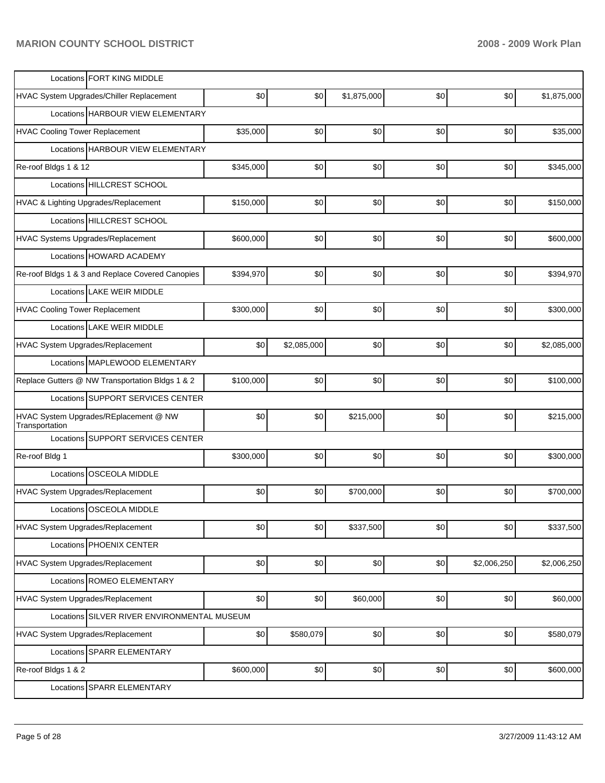| Locations FORT KING MIDDLE                              |           |             |             |     |             |             |
|---------------------------------------------------------|-----------|-------------|-------------|-----|-------------|-------------|
| HVAC System Upgrades/Chiller Replacement                | \$0       | \$0         | \$1,875,000 | \$0 | \$0         | \$1,875,000 |
| Locations HARBOUR VIEW ELEMENTARY                       |           |             |             |     |             |             |
| <b>HVAC Cooling Tower Replacement</b>                   | \$35,000  | \$0         | \$0         | \$0 | \$0         | \$35,000    |
| Locations HARBOUR VIEW ELEMENTARY                       |           |             |             |     |             |             |
| Re-roof Bldgs 1 & 12                                    | \$345,000 | \$0         | \$0         | \$0 | \$0         | \$345,000   |
| Locations HILLCREST SCHOOL                              |           |             |             |     |             |             |
| HVAC & Lighting Upgrades/Replacement                    | \$150,000 | \$0         | \$0         | \$0 | \$0         | \$150,000   |
| Locations HILLCREST SCHOOL                              |           |             |             |     |             |             |
| HVAC Systems Upgrades/Replacement                       | \$600,000 | \$0         | \$0         | \$0 | \$0         | \$600,000   |
| Locations HOWARD ACADEMY                                |           |             |             |     |             |             |
| Re-roof Bldgs 1 & 3 and Replace Covered Canopies        | \$394,970 | \$0         | \$0         | \$0 | \$0         | \$394,970   |
| Locations LAKE WEIR MIDDLE                              |           |             |             |     |             |             |
| <b>HVAC Cooling Tower Replacement</b>                   | \$300,000 | \$0         | \$0         | \$0 | \$0         | \$300,000   |
| Locations LAKE WEIR MIDDLE                              |           |             |             |     |             |             |
| HVAC System Upgrades/Replacement                        | \$0       | \$2,085,000 | \$0         | \$0 | \$0         | \$2,085,000 |
| Locations MAPLEWOOD ELEMENTARY                          |           |             |             |     |             |             |
| Replace Gutters @ NW Transportation Bldgs 1 & 2         | \$100,000 | \$0         | \$0         | \$0 | \$0         | \$100,000   |
| Locations SUPPORT SERVICES CENTER                       |           |             |             |     |             |             |
| HVAC System Upgrades/REplacement @ NW<br>Transportation | \$0       | \$0         | \$215,000   | \$0 | \$0         | \$215,000   |
| Locations SUPPORT SERVICES CENTER                       |           |             |             |     |             |             |
| Re-roof Bldg 1                                          | \$300,000 | \$0         | \$0         | \$0 | \$0         | \$300,000   |
| Locations OSCEOLA MIDDLE                                |           |             |             |     |             |             |
| HVAC System Upgrades/Replacement                        | \$0       | \$0         | \$700,000   | \$0 | \$0         | \$700,000   |
| Locations OSCEOLA MIDDLE                                |           |             |             |     |             |             |
| HVAC System Upgrades/Replacement                        | \$0       | \$0         | \$337,500   | \$0 | \$0         | \$337,500   |
| Locations PHOENIX CENTER                                |           |             |             |     |             |             |
| HVAC System Upgrades/Replacement                        | \$0       | \$0         | \$0         | \$0 | \$2,006,250 | \$2,006,250 |
| Locations ROMEO ELEMENTARY                              |           |             |             |     |             |             |
| <b>HVAC System Upgrades/Replacement</b>                 | \$0       | \$0         | \$60,000    | \$0 | \$0         | \$60,000    |
| Locations SILVER RIVER ENVIRONMENTAL MUSEUM             |           |             |             |     |             |             |
| HVAC System Upgrades/Replacement                        | \$0       | \$580,079   | \$0]        | \$0 | \$0         | \$580,079   |
| Locations SPARR ELEMENTARY                              |           |             |             |     |             |             |
| Re-roof Bldgs 1 & 2                                     | \$600,000 | \$0         | \$0]        | \$0 | \$0         | \$600,000   |
| Locations SPARR ELEMENTARY                              |           |             |             |     |             |             |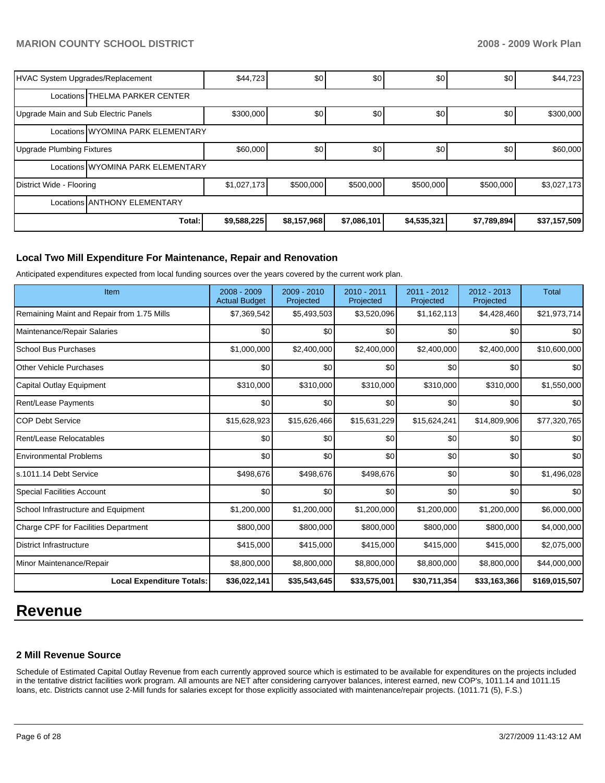| HVAC System Upgrades/Replacement     |                                   | \$44,723    | \$0         | \$0         | \$0         | \$0         | \$44,723     |  |  |
|--------------------------------------|-----------------------------------|-------------|-------------|-------------|-------------|-------------|--------------|--|--|
|                                      | Locations THELMA PARKER CENTER    |             |             |             |             |             |              |  |  |
| Upgrade Main and Sub Electric Panels |                                   | \$300,000   | \$0         | \$0         | \$0         | \$0         | \$300,000    |  |  |
|                                      | Locations WYOMINA PARK ELEMENTARY |             |             |             |             |             |              |  |  |
| Upgrade Plumbing Fixtures            |                                   | \$60,000    | \$0         | \$0         | \$0         | \$0         | \$60,000     |  |  |
|                                      | Locations WYOMINA PARK ELEMENTARY |             |             |             |             |             |              |  |  |
| District Wide - Flooring             |                                   | \$1,027,173 | \$500,000   | \$500,000   | \$500,000   | \$500,000   | \$3,027,173  |  |  |
| Locations ANTHONY ELEMENTARY         |                                   |             |             |             |             |             |              |  |  |
|                                      | Total:                            | \$9,588,225 | \$8,157,968 | \$7,086,101 | \$4,535,321 | \$7,789,894 | \$37,157,509 |  |  |

### **Local Two Mill Expenditure For Maintenance, Repair and Renovation**

Anticipated expenditures expected from local funding sources over the years covered by the current work plan.

| Item                                       | 2008 - 2009<br><b>Actual Budget</b> | 2009 - 2010<br>Projected | 2010 - 2011<br>Projected | 2011 - 2012<br>Projected | 2012 - 2013<br>Projected | Total         |
|--------------------------------------------|-------------------------------------|--------------------------|--------------------------|--------------------------|--------------------------|---------------|
| Remaining Maint and Repair from 1.75 Mills | \$7,369,542                         | \$5,493,503              | \$3,520,096              | \$1,162,113              | \$4,428,460              | \$21,973,714  |
| Maintenance/Repair Salaries                | \$0                                 | \$0                      | \$0                      | \$0                      | \$0                      | \$0           |
| <b>School Bus Purchases</b>                | \$1,000,000                         | \$2,400,000              | \$2,400,000              | \$2,400,000              | \$2,400,000              | \$10,600,000  |
| <b>Other Vehicle Purchases</b>             | \$0                                 | \$0                      | \$0                      | \$0                      | \$0                      | \$0           |
| Capital Outlay Equipment                   | \$310,000                           | \$310,000                | \$310,000                | \$310,000                | \$310,000                | \$1,550,000   |
| Rent/Lease Payments                        | \$0                                 | \$0                      | \$0                      | \$0                      | \$0                      | \$0           |
| <b>COP Debt Service</b>                    | \$15,628,923                        | \$15,626,466             | \$15,631,229             | \$15,624,241             | \$14,809,906             | \$77,320,765  |
| Rent/Lease Relocatables                    | \$0                                 | \$0                      | \$0                      | \$0                      | \$0                      | \$0           |
| <b>Environmental Problems</b>              | \$0                                 | \$0                      | \$0                      | \$0                      | \$0                      | \$0           |
| s.1011.14 Debt Service                     | \$498,676                           | \$498,676                | \$498,676                | \$0                      | \$0                      | \$1,496,028   |
| <b>Special Facilities Account</b>          | \$0                                 | \$0                      | \$0                      | \$0                      | \$0                      | \$0           |
| School Infrastructure and Equipment        | \$1,200,000                         | \$1,200,000              | \$1,200,000              | \$1,200,000              | \$1,200,000              | \$6,000,000   |
| Charge CPF for Facilities Department       | \$800,000                           | \$800,000                | \$800,000                | \$800,000                | \$800,000                | \$4,000,000   |
| <b>District Infrastructure</b>             | \$415,000                           | \$415,000                | \$415,000                | \$415,000                | \$415,000                | \$2,075,000   |
| Minor Maintenance/Repair                   | \$8,800,000                         | \$8,800,000              | \$8,800,000              | \$8,800,000              | \$8,800,000              | \$44,000,000  |
| <b>Local Expenditure Totals:</b>           | \$36,022,141                        | \$35,543,645             | \$33,575,001             | \$30,711,354             | \$33,163,366             | \$169,015,507 |

# **Revenue**

### **2 Mill Revenue Source**

Schedule of Estimated Capital Outlay Revenue from each currently approved source which is estimated to be available for expenditures on the projects included in the tentative district facilities work program. All amounts are NET after considering carryover balances, interest earned, new COP's, 1011.14 and 1011.15 loans, etc. Districts cannot use 2-Mill funds for salaries except for those explicitly associated with maintenance/repair projects. (1011.71 (5), F.S.)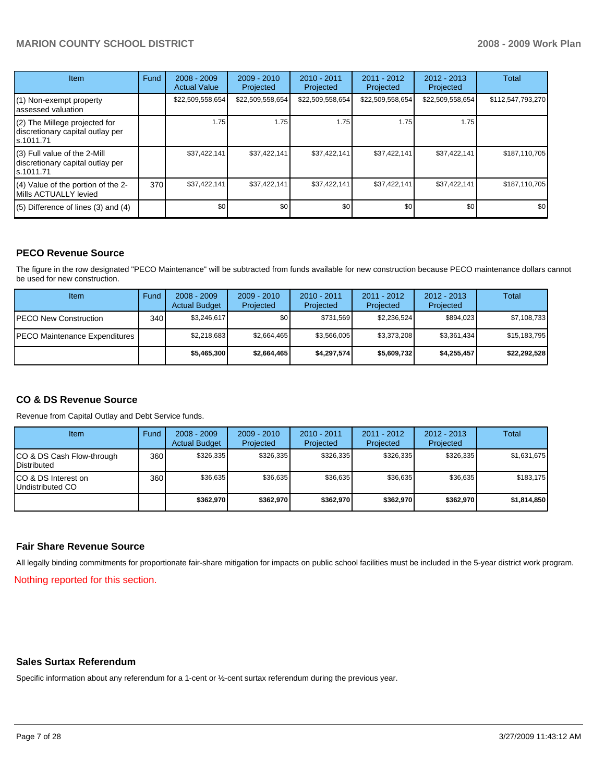| <b>Item</b>                                                                    | Fund | $2008 - 2009$<br><b>Actual Value</b> | $2009 - 2010$<br>Projected | $2010 - 2011$<br>Projected | 2011 - 2012<br>Projected | $2012 - 2013$<br>Projected | Total             |
|--------------------------------------------------------------------------------|------|--------------------------------------|----------------------------|----------------------------|--------------------------|----------------------------|-------------------|
| (1) Non-exempt property<br>assessed valuation                                  |      | \$22,509,558,654                     | \$22,509,558,654           | \$22,509,558,654           | \$22,509,558,654         | \$22,509,558,654           | \$112,547,793,270 |
| (2) The Millege projected for<br>discretionary capital outlay per<br>s.1011.71 |      | 1.75                                 | 1.75                       | 1.75                       | 1.75                     | 1.75                       |                   |
| (3) Full value of the 2-Mill<br>discretionary capital outlay per<br>s.1011.71  |      | \$37,422,141                         | \$37,422,141               | \$37,422,141               | \$37,422,141             | \$37,422,141               | \$187,110,705     |
| (4) Value of the portion of the 2-<br>Mills ACTUALLY levied                    | 370  | \$37,422,141                         | \$37,422,141               | \$37,422,141               | \$37,422,141             | \$37,422,141               | \$187,110,705     |
| $(5)$ Difference of lines $(3)$ and $(4)$                                      |      | \$0                                  | \$0                        | \$0                        | \$0                      | \$0                        | \$0               |

# **PECO Revenue Source**

The figure in the row designated "PECO Maintenance" will be subtracted from funds available for new construction because PECO maintenance dollars cannot be used for new construction.

| Item                                 | Fund | $2008 - 2009$<br><b>Actual Budget</b> | $2009 - 2010$<br>Projected | $2010 - 2011$<br>Projected | $2011 - 2012$<br>Projected | $2012 - 2013$<br>Projected | Total        |
|--------------------------------------|------|---------------------------------------|----------------------------|----------------------------|----------------------------|----------------------------|--------------|
| <b>IPECO New Construction</b>        | 340  | \$3,246,617                           | \$٥Ι                       | \$731.569                  | \$2.236.524                | \$894,023                  | \$7,108,733  |
| <b>PECO Maintenance Expenditures</b> |      | \$2,218,683                           | \$2,664,465                | \$3,566,005                | \$3.373.208                | \$3,361,434                | \$15,183,795 |
|                                      |      | \$5,465,300                           | \$2,664,465                | \$4,297,574                | \$5,609.732                | \$4.255.457                | \$22.292.528 |

# **CO & DS Revenue Source**

Revenue from Capital Outlay and Debt Service funds.

| <b>Item</b>                                        | Fund | $2008 - 2009$<br><b>Actual Budget</b> | $2009 - 2010$<br>Projected | $2010 - 2011$<br>Projected | $2011 - 2012$<br>Projected | $2012 - 2013$<br>Projected | Total       |
|----------------------------------------------------|------|---------------------------------------|----------------------------|----------------------------|----------------------------|----------------------------|-------------|
| ICO & DS Cash Flow-through<br><b>I</b> Distributed | 360  | \$326.335                             | \$326.335                  | \$326.335                  | \$326.335                  | \$326.335                  | \$1,631,675 |
| ICO & DS Interest on<br>Undistributed CO           | 360  | \$36.635                              | \$36.635                   | \$36.635                   | \$36.635                   | \$36.635                   | \$183.175   |
|                                                    |      | \$362,970                             | \$362.970                  | \$362,970                  | \$362,970                  | \$362,970                  | \$1,814,850 |

### **Fair Share Revenue Source**

All legally binding commitments for proportionate fair-share mitigation for impacts on public school facilities must be included in the 5-year district work program.

Nothing reported for this section.

### **Sales Surtax Referendum**

Specific information about any referendum for a 1-cent or ½-cent surtax referendum during the previous year.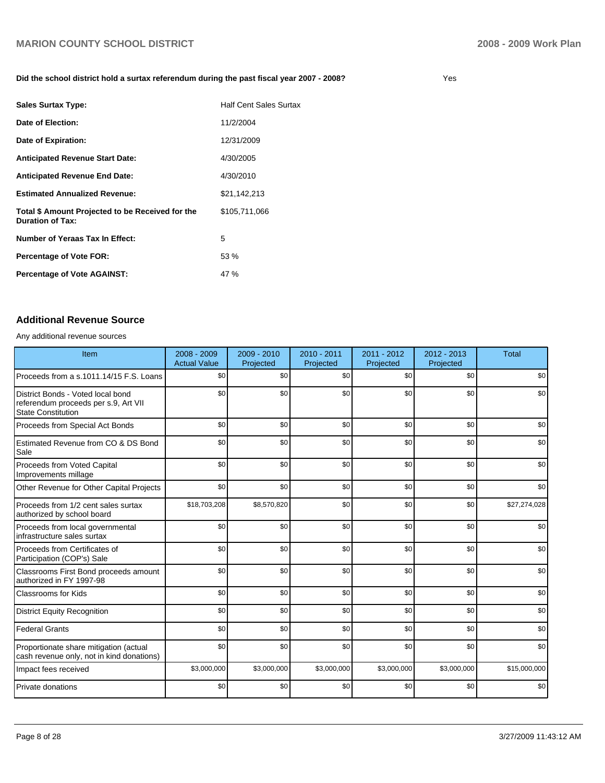### **Did the school district hold a surtax referendum during the past fiscal year 2007 - 2008?** Yes

| <b>Sales Surtax Type:</b>                                                   | Half Cent Sales Surtax |
|-----------------------------------------------------------------------------|------------------------|
| Date of Election:                                                           | 11/2/2004              |
| Date of Expiration:                                                         | 12/31/2009             |
| <b>Anticipated Revenue Start Date:</b>                                      | 4/30/2005              |
| <b>Anticipated Revenue End Date:</b>                                        | 4/30/2010              |
| <b>Estimated Annualized Revenue:</b>                                        | \$21,142,213           |
| Total \$ Amount Projected to be Received for the<br><b>Duration of Tax:</b> | \$105,711,066          |
| Number of Yeraas Tax In Effect:                                             | 5                      |
| <b>Percentage of Vote FOR:</b>                                              | 53 %                   |
| <b>Percentage of Vote AGAINST:</b>                                          | 47 %                   |

### **Additional Revenue Source**

Any additional revenue sources

| Item                                                                                                   | $2008 - 2009$<br><b>Actual Value</b> | $2009 - 2010$<br>Projected | $2010 - 2011$<br>Projected | $2011 - 2012$<br>Projected | 2012 - 2013<br>Projected | Total        |
|--------------------------------------------------------------------------------------------------------|--------------------------------------|----------------------------|----------------------------|----------------------------|--------------------------|--------------|
| Proceeds from a s.1011.14/15 F.S. Loans                                                                | \$0                                  | \$0                        | \$0                        | \$0                        | \$0                      | \$0          |
| District Bonds - Voted local bond<br>referendum proceeds per s.9, Art VII<br><b>State Constitution</b> | \$0                                  | \$0                        | \$0                        | \$0                        | \$0                      | \$0          |
| Proceeds from Special Act Bonds                                                                        | \$0                                  | \$0                        | \$0                        | \$0                        | \$0                      | \$0          |
| Estimated Revenue from CO & DS Bond<br>Sale                                                            | \$0                                  | \$0                        | \$0                        | \$0                        | \$0                      | \$0          |
| Proceeds from Voted Capital<br>Improvements millage                                                    | \$0                                  | \$0                        | \$0                        | \$0                        | \$0                      | \$0          |
| Other Revenue for Other Capital Projects                                                               | \$0                                  | \$0                        | \$0                        | \$0                        | \$0                      | \$0          |
| Proceeds from 1/2 cent sales surtax<br>authorized by school board                                      | \$18,703,208                         | \$8,570,820                | \$0                        | \$0                        | \$0                      | \$27,274,028 |
| Proceeds from local governmental<br>infrastructure sales surtax                                        | \$0                                  | \$0                        | \$0                        | \$0                        | \$0                      | \$0          |
| Proceeds from Certificates of<br>Participation (COP's) Sale                                            | \$0                                  | \$0                        | \$0                        | \$0                        | \$0                      | \$0          |
| Classrooms First Bond proceeds amount<br>authorized in FY 1997-98                                      | \$0                                  | \$0                        | \$0                        | \$0                        | \$0                      | \$0          |
| Classrooms for Kids                                                                                    | \$0                                  | \$0                        | \$0                        | \$0                        | \$0                      | \$0          |
| <b>District Equity Recognition</b>                                                                     | \$0                                  | \$0                        | \$0                        | \$0                        | \$0                      | \$0          |
| <b>Federal Grants</b>                                                                                  | \$0                                  | \$0                        | \$0                        | \$0                        | \$0                      | \$0          |
| Proportionate share mitigation (actual<br>cash revenue only, not in kind donations)                    | \$0                                  | \$0                        | \$0                        | \$0                        | \$0                      | \$0          |
| Impact fees received                                                                                   | \$3,000,000                          | \$3,000,000                | \$3,000,000                | \$3,000,000                | \$3,000,000              | \$15,000,000 |
| Private donations                                                                                      | \$0                                  | \$0                        | \$0                        | \$0                        | \$0                      | \$0          |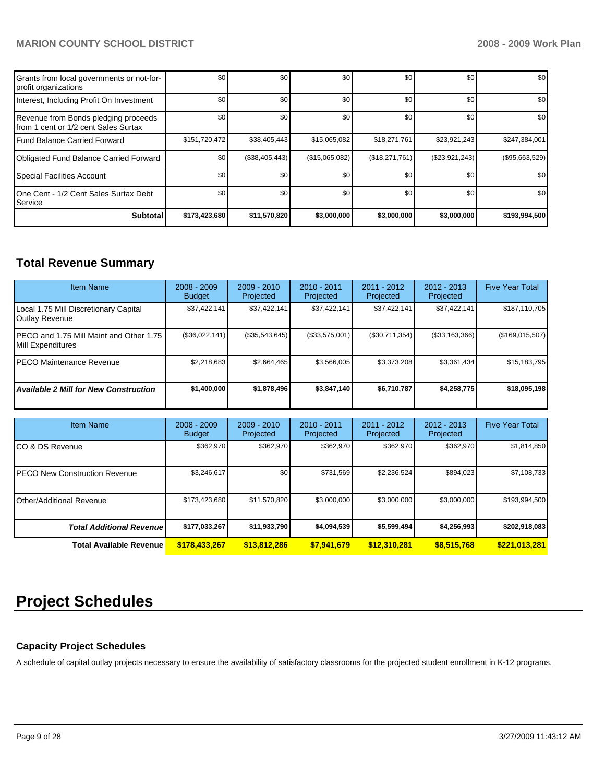| <b>Subtotal</b>                                                               | \$173,423,680 | \$11,570,820   | \$3,000,000    | \$3,000,000    | \$3,000,000    | \$193,994,500  |
|-------------------------------------------------------------------------------|---------------|----------------|----------------|----------------|----------------|----------------|
| 1One Cent - 1/2 Cent Sales Surtax Debt<br><b>Service</b>                      | \$0           | \$0            | \$0            | \$0            | \$0            | \$0            |
| Special Facilities Account                                                    | \$0           | \$0            | \$0            | \$0            | \$0            | \$0            |
| Obligated Fund Balance Carried Forward                                        | \$0           | (\$38,405,443) | (\$15,065,082) | (\$18,271,761) | (\$23,921,243) | (\$95,663,529) |
| Fund Balance Carried Forward                                                  | \$151,720,472 | \$38,405,443   | \$15,065,082   | \$18,271,761   | \$23,921,243   | \$247,384,001  |
| Revenue from Bonds pledging proceeds<br>Ifrom 1 cent or 1/2 cent Sales Surtax | \$0           | \$0            | \$0            | \$0            | \$0            | \$0            |
| Interest, Including Profit On Investment                                      | \$0           | \$0            | \$0            | \$0            | \$0            | \$0            |
| Grants from local governments or not-for-<br>profit organizations             | \$0           | \$0            | \$0            | \$0            | \$0            | \$0            |

# **Total Revenue Summary**

| <b>Item Name</b>                                                | $2008 - 2009$<br><b>Budget</b> | $2009 - 2010$<br>Projected | $2010 - 2011$<br>Projected | 2011 - 2012<br>Projected | 2012 - 2013<br>Projected | <b>Five Year Total</b> |
|-----------------------------------------------------------------|--------------------------------|----------------------------|----------------------------|--------------------------|--------------------------|------------------------|
| Local 1.75 Mill Discretionary Capital<br>Outlay Revenue         | \$37,422,141                   | \$37,422,141               | \$37,422,141               | \$37,422,141             | \$37,422,141             | \$187,110,705          |
| IPECO and 1.75 Mill Maint and Other 1.75 I<br>Mill Expenditures | (\$36,022,141)                 | (\$35,543,645)             | (\$33,575,001)             | (\$30,711,354)           | $($ \$33,163,366)        | (\$169,015,507)        |
| IPECO Maintenance Revenue                                       | \$2.218.683                    | \$2,664,465                | \$3,566,005                | \$3,373,208              | \$3,361,434              | \$15,183,795           |
| <b>Available 2 Mill for New Construction</b>                    | \$1,400,000                    | \$1,878,496                | \$3,847,140                | \$6,710,787              | \$4,258,775              | \$18,095,198           |

| <b>Item Name</b>                      | $2008 - 2009$<br><b>Budget</b> | $2009 - 2010$<br>Projected | $2010 - 2011$<br>Projected | 2011 - 2012<br>Projected | $2012 - 2013$<br>Projected | <b>Five Year Total</b> |
|---------------------------------------|--------------------------------|----------------------------|----------------------------|--------------------------|----------------------------|------------------------|
| ICO & DS Revenue                      | \$362.970                      | \$362.970                  | \$362.970                  | \$362,970                | \$362.970                  | \$1,814,850            |
| <b>IPECO New Construction Revenue</b> | \$3,246,617                    | \$0                        | \$731.569                  | \$2,236,524              | \$894,023                  | \$7,108,733            |
| Other/Additional Revenue              | \$173,423,680                  | \$11,570,820               | \$3,000,000                | \$3,000,000              | \$3,000,000                | \$193,994,500          |
| <b>Total Additional Revenuel</b>      | \$177,033,267                  | \$11,933,790               | \$4,094,539                | \$5,599,494              | \$4,256,993                | \$202,918,083          |
| <b>Total Available Revenue</b>        | \$178,433,267                  | \$13,812,286               | \$7,941,679                | \$12,310,281             | \$8,515,768                | \$221,013,281          |

# **Project Schedules**

# **Capacity Project Schedules**

A schedule of capital outlay projects necessary to ensure the availability of satisfactory classrooms for the projected student enrollment in K-12 programs.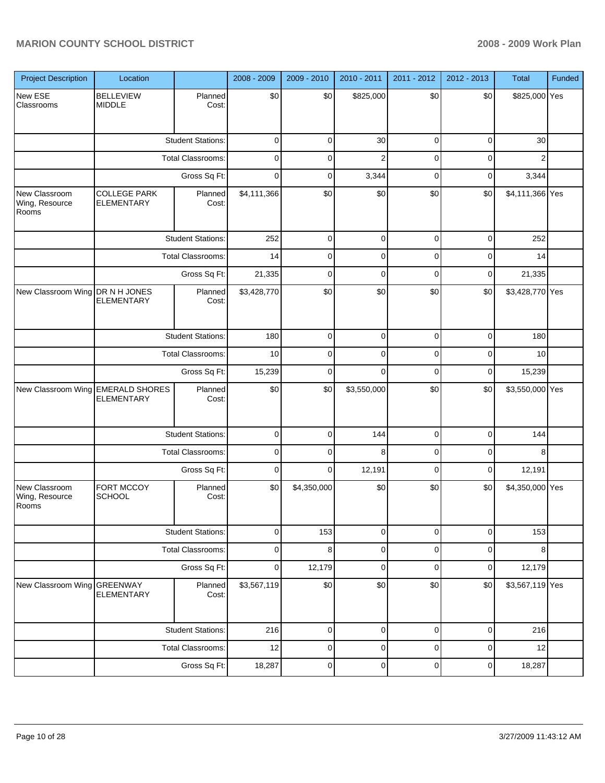| <b>Project Description</b>               | Location                                               |                          | 2008 - 2009    | 2009 - 2010 | 2010 - 2011    | 2011 - 2012    | 2012 - 2013 | Total           | Funded |
|------------------------------------------|--------------------------------------------------------|--------------------------|----------------|-------------|----------------|----------------|-------------|-----------------|--------|
| New ESE<br>Classrooms                    | <b>BELLEVIEW</b><br><b>MIDDLE</b>                      | Planned<br>Cost:         | \$0            | \$0         | \$825,000      | \$0            | \$0         | \$825,000 Yes   |        |
|                                          |                                                        | <b>Student Stations:</b> | $\pmb{0}$      | $\mathbf 0$ | 30             | $\mathbf 0$    | $\pmb{0}$   | 30              |        |
|                                          |                                                        | <b>Total Classrooms:</b> | $\pmb{0}$      | 0           | $\overline{c}$ | $\mathbf 0$    | $\mathbf 0$ | $\overline{c}$  |        |
|                                          |                                                        | Gross Sq Ft:             | $\mathbf 0$    | $\pmb{0}$   | 3,344          | $\pmb{0}$      | $\pmb{0}$   | 3,344           |        |
| New Classroom<br>Wing, Resource<br>Rooms | <b>COLLEGE PARK</b><br><b>ELEMENTARY</b>               | Planned<br>Cost:         | \$4,111,366    | \$0         | \$0            | \$0            | \$0         | \$4,111,366 Yes |        |
|                                          |                                                        | <b>Student Stations:</b> | 252            | 0           | $\pmb{0}$      | 0              | 0           | 252             |        |
|                                          |                                                        | Total Classrooms:        | 14             | 0           | 0              | 0              | 0           | 14              |        |
|                                          |                                                        | Gross Sq Ft:             | 21,335         | 0           | $\mathbf 0$    | 0              | 0           | 21,335          |        |
| New Classroom Wing DR N H JONES          | <b>ELEMENTARY</b>                                      | Planned<br>Cost:         | \$3,428,770    | \$0         | \$0            | \$0            | \$0         | \$3,428,770 Yes |        |
|                                          | <b>Student Stations:</b>                               | 180                      | $\overline{0}$ | $\mathbf 0$ | $\overline{0}$ | $\mathbf 0$    | 180         |                 |        |
|                                          | Total Classrooms:<br>Gross Sq Ft:                      |                          | 10             | $\mathsf 0$ | $\mathsf 0$    | $\mathbf 0$    | $\pmb{0}$   | 10              |        |
|                                          |                                                        |                          | 15,239         | $\mathbf 0$ | $\mathbf 0$    | $\mathbf 0$    | $\mathbf 0$ | 15,239          |        |
|                                          | New Classroom Wing EMERALD SHORES<br><b>ELEMENTARY</b> | Planned<br>Cost:         | \$0            | \$0         | \$3,550,000    | \$0            | \$0         | \$3,550,000 Yes |        |
|                                          |                                                        | <b>Student Stations:</b> | $\pmb{0}$      | $\mathbf 0$ | 144            | 0              | $\pmb{0}$   | 144             |        |
|                                          |                                                        | <b>Total Classrooms:</b> | $\pmb{0}$      | 0           | 8              | 0              | 0           | 8               |        |
|                                          |                                                        | Gross Sq Ft:             | 0              | $\mathbf 0$ | 12,191         | 0              | 0           | 12,191          |        |
| New Classroom<br>Wing, Resource<br>Rooms | FORT MCCOY<br><b>SCHOOL</b>                            | Planned<br>Cost:         | \$0            | \$4,350,000 | \$0            | \$0            | \$0         | \$4,350,000 Yes |        |
|                                          |                                                        | <b>Student Stations:</b> | $\pmb{0}$      | 153         | $\overline{0}$ | $\overline{0}$ | $\mathbf 0$ | 153             |        |
|                                          |                                                        | <b>Total Classrooms:</b> | $\pmb{0}$      | 8           | $\mathbf 0$    | $\mathbf 0$    | $\mathbf 0$ | 8               |        |
|                                          |                                                        | Gross Sq Ft:             | $\pmb{0}$      | 12,179      | $\mathbf 0$    | $\mathbf 0$    | $\mathbf 0$ | 12,179          |        |
| New Classroom Wing GREENWAY              | <b>ELEMENTARY</b>                                      | Planned<br>Cost:         | \$3,567,119    | \$0         | \$0            | \$0            | \$0         | \$3,567,119 Yes |        |
|                                          |                                                        | <b>Student Stations:</b> | 216            | 0           | 0              | 0              | 0           | 216             |        |
|                                          |                                                        | <b>Total Classrooms:</b> | 12             | 0           | 0              | 0              | $\mathbf 0$ | 12              |        |
|                                          |                                                        | Gross Sq Ft:             | 18,287         | $\pmb{0}$   | 0              | $\pmb{0}$      | 0           | 18,287          |        |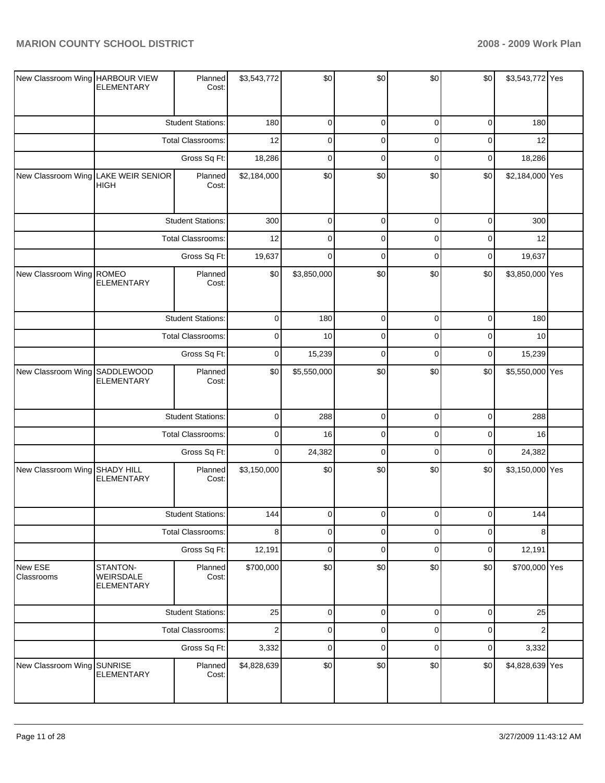| New Classroom Wing HARBOUR VIEW | <b>ELEMENTARY</b>                                  | Planned<br>Cost:         | \$3,543,772      | \$0         | \$0         | \$0      | \$0         | \$3,543,772 Yes |  |
|---------------------------------|----------------------------------------------------|--------------------------|------------------|-------------|-------------|----------|-------------|-----------------|--|
|                                 |                                                    | <b>Student Stations:</b> | 180              | $\mathbf 0$ | 0           | 0        | 0           | 180             |  |
|                                 |                                                    | <b>Total Classrooms:</b> | 12               | $\mathbf 0$ | 0           | 0        | 0           | 12              |  |
|                                 |                                                    | Gross Sq Ft:             | 18,286           | $\mathbf 0$ | 0           | $\Omega$ | 0           | 18,286          |  |
|                                 | New Classroom Wing LAKE WEIR SENIOR<br><b>HIGH</b> | Planned<br>Cost:         | \$2,184,000      | \$0         | \$0         | \$0      | \$0         | \$2,184,000 Yes |  |
|                                 |                                                    | <b>Student Stations:</b> | 300              | $\mathbf 0$ | 0           | 0        | 0           | 300             |  |
|                                 |                                                    | Total Classrooms:        | 12               | $\mathbf 0$ | 0           | 0        | 0           | 12              |  |
|                                 |                                                    | Gross Sq Ft:             | 19,637           | $\Omega$    | 0           | $\Omega$ | 0           | 19,637          |  |
| New Classroom Wing ROMEO        | <b>ELEMENTARY</b>                                  | Planned<br>Cost:         | \$0              | \$3,850,000 | \$0         | \$0      | \$0         | \$3,850,000 Yes |  |
|                                 |                                                    | <b>Student Stations:</b> | $\mathbf 0$      | 180         | 0           | 0        | 0           | 180             |  |
|                                 |                                                    | Total Classrooms:        | $\mathbf 0$      | 10          | 0           | 0        | 0           | 10              |  |
|                                 | Gross Sq Ft:                                       |                          | $\mathbf 0$      | 15,239      | 0           | 0        | 0           | 15,239          |  |
| New Classroom Wing SADDLEWOOD   | <b>ELEMENTARY</b>                                  | Planned<br>Cost:         | \$0              | \$5,550,000 | \$0         | \$0      | \$0         | \$5,550,000 Yes |  |
|                                 |                                                    | <b>Student Stations:</b> | $\mathbf 0$      | 288         | 0           | 0        | 0           | 288             |  |
|                                 |                                                    | Total Classrooms:        | $\mathbf 0$      | 16          | 0           | $\Omega$ | $\Omega$    | 16              |  |
|                                 |                                                    | Gross Sq Ft:             | $\mathbf 0$      | 24,382      | 0           | 0        | 0           | 24,382          |  |
| New Classroom Wing SHADY HILL   | <b>ELEMENTARY</b>                                  | Planned<br>Cost:         | \$3,150,000      | \$0         | \$0         | \$0      | \$0         | \$3,150,000 Yes |  |
|                                 |                                                    | <b>Student Stations:</b> | 144              | 0           | 0           | $\Omega$ | 0           | 144             |  |
|                                 |                                                    | Total Classrooms:        | 8                | $\mathbf 0$ | 0           | 0        | 0           | 8               |  |
|                                 |                                                    | Gross Sq Ft:             | 12,191           | $\mathbf 0$ | 0           | 0        | 0           | 12,191          |  |
| New ESE<br>Classrooms           | STANTON-<br>WEIRSDALE<br><b>ELEMENTARY</b>         | Planned<br>Cost:         | \$700,000        | \$0         | \$0         | \$0      | \$0         | \$700,000 Yes   |  |
|                                 |                                                    | <b>Student Stations:</b> | 25               | $\mathbf 0$ | $\mathbf 0$ | 0        | $\mathbf 0$ | 25              |  |
|                                 |                                                    | Total Classrooms:        | $\boldsymbol{2}$ | $\mathbf 0$ | 0           | 0        | 0           | $\overline{2}$  |  |
|                                 |                                                    | Gross Sq Ft:             | 3,332            | $\mathbf 0$ | 0           | 0        | 0           | 3,332           |  |
| New Classroom Wing SUNRISE      | ELEMENTARY                                         | Planned<br>Cost:         | \$4,828,639      | \$0         | \$0         | \$0      | \$0         | \$4,828,639 Yes |  |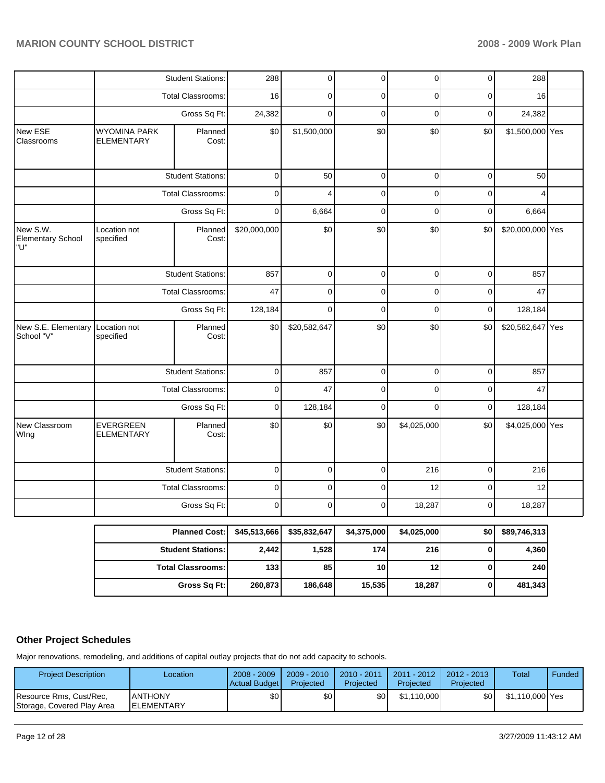|                                                |                                          | <b>Student Stations:</b> | 288          | $\overline{0}$ | $\overline{0}$ | $\overline{0}$ | $\overline{0}$ | 288              |  |
|------------------------------------------------|------------------------------------------|--------------------------|--------------|----------------|----------------|----------------|----------------|------------------|--|
|                                                |                                          | Total Classrooms:        | 16           | 0              | $\pmb{0}$      | 0              | $\pmb{0}$      | 16               |  |
|                                                |                                          | Gross Sq Ft:             | 24,382       | $\mathbf 0$    | $\mathbf 0$    | $\mathbf 0$    | $\mathbf 0$    | 24,382           |  |
| New ESE<br>Classrooms                          | <b>WYOMINA PARK</b><br><b>ELEMENTARY</b> | Planned<br>Cost:         | \$0          | \$1,500,000    | \$0            | \$0            | \$0            | \$1,500,000 Yes  |  |
|                                                |                                          | <b>Student Stations:</b> | $\pmb{0}$    | 50             | $\mathbf 0$    | $\pmb{0}$      | $\mathbf 0$    | 50               |  |
|                                                |                                          | <b>Total Classrooms:</b> | $\pmb{0}$    | 4              | $\mathbf 0$    | 0              | $\mathbf 0$    | 4                |  |
|                                                |                                          | Gross Sq Ft:             | $\mathbf 0$  | 6,664          | $\mathbf 0$    | $\pmb{0}$      | 0              | 6,664            |  |
| New S.W.<br><b>Elementary School</b><br>"U"    | Location not<br>specified                | Planned<br>Cost:         | \$20,000,000 | \$0            | \$0            | \$0            | \$0            | \$20,000,000 Yes |  |
|                                                |                                          | <b>Student Stations:</b> | 857          | $\pmb{0}$      | $\mathbf 0$    | $\pmb{0}$      | $\pmb{0}$      | 857              |  |
|                                                |                                          | Total Classrooms:        | 47           | $\pmb{0}$      | $\mathbf 0$    | $\pmb{0}$      | $\pmb{0}$      | 47               |  |
|                                                | Gross Sq Ft:                             |                          | 128,184      | $\mathbf 0$    | $\pmb{0}$      | $\pmb{0}$      | $\mathbf 0$    | 128,184          |  |
| New S.E. Elementary Location not<br>School "V" | specified                                | Planned<br>Cost:         | \$0          | \$20,582,647   | \$0            | \$0            | \$0            | \$20,582,647 Yes |  |
|                                                |                                          | <b>Student Stations:</b> | $\pmb{0}$    | 857            | $\mathbf 0$    | $\pmb{0}$      | $\mathbf 0$    | 857              |  |
|                                                |                                          | Total Classrooms:        | $\pmb{0}$    | 47             | $\pmb{0}$      | 0              | $\mathbf 0$    | 47               |  |
|                                                |                                          | Gross Sq Ft:             | $\pmb{0}$    | 128,184        | $\mathbf 0$    | $\mathbf 0$    | $\pmb{0}$      | 128,184          |  |
| New Classroom<br>Wing                          | <b>EVERGREEN</b><br><b>ELEMENTARY</b>    | Planned<br>Cost:         | \$0          | \$0            | \$0            | \$4,025,000    | \$0            | \$4,025,000 Yes  |  |
|                                                |                                          | <b>Student Stations:</b> | $\pmb{0}$    | $\pmb{0}$      | $\mathbf 0$    | 216            | $\mathbf 0$    | 216              |  |
|                                                |                                          | Total Classrooms:        | $\pmb{0}$    | $\pmb{0}$      | $\pmb{0}$      | 12             | $\pmb{0}$      | 12               |  |
|                                                |                                          | Gross Sq Ft:             | $\pmb{0}$    | $\mathbf 0$    | $\pmb{0}$      | 18,287         | $\mathbf 0$    | 18,287           |  |
|                                                |                                          | <b>Planned Cost:</b>     | \$45,513,666 | \$35,832,647   | \$4,375,000    | \$4,025,000    | \$0            | \$89,746,313     |  |
|                                                |                                          | <b>Student Stations:</b> | 2,442        | 1,528          | 174            | 216            | $\pmb{0}$      | 4,360            |  |
|                                                |                                          | <b>Total Classrooms:</b> | 133          | 85             | 10             | 12             | $\pmb{0}$      | 240              |  |
|                                                |                                          | Gross Sq Ft:             | 260,873      | 186,648        | 15,535         | 18,287         | 0              | 481,343          |  |

# **Other Project Schedules**

Major renovations, remodeling, and additions of capital outlay projects that do not add capacity to schools.

| <b>Project Description</b>                            | Location                             | $2008 - 2009$<br>Actual Budget | 2009 - 2010  <br>Projected | 2010 - 2011<br>Projected | 2011 - 2012  <br>Projected | $2012 - 2013$<br>Projected | Total           | Funded ' |
|-------------------------------------------------------|--------------------------------------|--------------------------------|----------------------------|--------------------------|----------------------------|----------------------------|-----------------|----------|
| Resource Rms, Cust/Rec,<br>Storage, Covered Play Area | <b>ANTHONY</b><br><b>IELEMENTARY</b> | \$0                            | \$0                        | \$0                      | \$1.110.000                | \$0                        | \$1,110,000 Yes |          |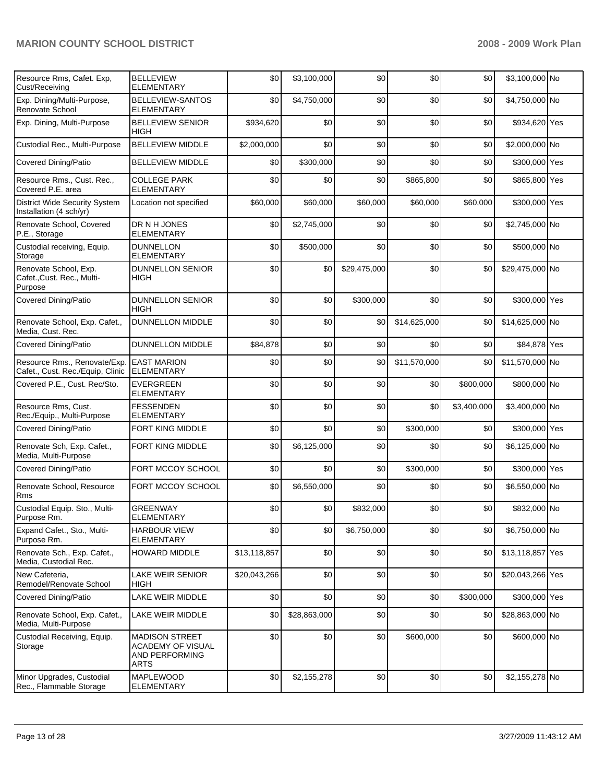| Resource Rms, Cafet. Exp,<br>Cust/Receiving                      | <b>BELLEVIEW</b><br><b>ELEMENTARY</b>                                       | \$0          | \$3,100,000  | \$0          | \$0          | \$0         | \$3,100,000 No   |  |
|------------------------------------------------------------------|-----------------------------------------------------------------------------|--------------|--------------|--------------|--------------|-------------|------------------|--|
| Exp. Dining/Multi-Purpose,<br>Renovate School                    | <b>BELLEVIEW-SANTOS</b><br><b>ELEMENTARY</b>                                | \$0          | \$4,750,000  | \$0          | \$0          | \$0         | \$4,750,000 No   |  |
| Exp. Dining, Multi-Purpose                                       | <b>BELLEVIEW SENIOR</b><br><b>HIGH</b>                                      | \$934,620    | \$0          | \$0          | \$0          | \$0         | \$934,620 Yes    |  |
| Custodial Rec., Multi-Purpose                                    | <b>BELLEVIEW MIDDLE</b>                                                     | \$2,000,000  | \$0          | \$0          | \$0          | \$0         | \$2,000,000 No   |  |
| <b>Covered Dining/Patio</b>                                      | <b>BELLEVIEW MIDDLE</b>                                                     | \$0          | \$300,000    | \$0          | \$0          | \$0         | \$300,000 Yes    |  |
| Resource Rms., Cust. Rec.,<br>Covered P.E. area                  | <b>COLLEGE PARK</b><br><b>ELEMENTARY</b>                                    | \$0          | \$0          | \$0          | \$865,800    | \$0         | \$865,800 Yes    |  |
| <b>District Wide Security System</b><br>Installation (4 sch/yr)  | Location not specified                                                      | \$60,000     | \$60,000     | \$60,000     | \$60,000     | \$60,000    | \$300,000 Yes    |  |
| Renovate School, Covered<br>P.E., Storage                        | DR N H JONES<br><b>ELEMENTARY</b>                                           | \$0          | \$2,745,000  | \$0          | \$0          | \$0         | \$2,745,000 No   |  |
| Custodial receiving, Equip.<br>Storage                           | <b>DUNNELLON</b><br><b>ELEMENTARY</b>                                       | \$0          | \$500,000    | \$0          | \$0          | \$0         | \$500,000 No     |  |
| Renovate School, Exp.<br>Cafet., Cust. Rec., Multi-<br>Purpose   | <b>DUNNELLON SENIOR</b><br>HIGH                                             | \$0          | \$0          | \$29,475,000 | \$0          | \$0         | \$29,475,000 No  |  |
| <b>Covered Dining/Patio</b>                                      | <b>DUNNELLON SENIOR</b><br><b>HIGH</b>                                      | \$0          | \$0          | \$300,000    | \$0          | \$0         | \$300,000 Yes    |  |
| Renovate School, Exp. Cafet.,<br>Media, Cust. Rec.               | <b>DUNNELLON MIDDLE</b>                                                     | \$0          | \$0          | \$0          | \$14,625,000 | \$0         | \$14,625,000 No  |  |
| <b>Covered Dining/Patio</b>                                      | <b>DUNNELLON MIDDLE</b>                                                     | \$84,878     | \$0          | \$0          | \$0          | \$0         | \$84,878 Yes     |  |
| Resource Rms., Renovate/Exp.<br>Cafet., Cust. Rec./Equip, Clinic | <b>EAST MARION</b><br><b>ELEMENTARY</b>                                     | \$0          | \$0          | \$0          | \$11,570,000 | \$0         | \$11,570,000 No  |  |
| Covered P.E., Cust. Rec/Sto.                                     | <b>EVERGREEN</b><br><b>ELEMENTARY</b>                                       | \$0          | \$0          | \$0          | \$0          | \$800,000   | \$800,000 No     |  |
| Resource Rms, Cust.<br>Rec./Equip., Multi-Purpose                | <b>FESSENDEN</b><br><b>ELEMENTARY</b>                                       | \$0          | \$0          | \$0          | \$0          | \$3,400,000 | \$3,400,000 No   |  |
| <b>Covered Dining/Patio</b>                                      | FORT KING MIDDLE                                                            | \$0          | \$0          | \$0          | \$300,000    | \$0         | \$300,000 Yes    |  |
| Renovate Sch, Exp. Cafet.,<br>Media, Multi-Purpose               | FORT KING MIDDLE                                                            | \$0          | \$6,125,000  | \$0          | \$0          | \$0         | \$6,125,000 No   |  |
| <b>Covered Dining/Patio</b>                                      | FORT MCCOY SCHOOL                                                           | \$0          | \$0          | \$0          | \$300,000    | \$0         | \$300,000 Yes    |  |
| Renovate School, Resource<br>Rms                                 | FORT MCCOY SCHOOL                                                           | \$0          | \$6,550,000  | \$0          | \$0          | \$0         | \$6,550,000 No   |  |
| Custodial Equip. Sto., Multi-<br>Purpose Rm.                     | <b>GREENWAY</b><br><b>ELEMENTARY</b>                                        | \$0          | \$0          | \$832,000    | \$0          | \$0         | \$832,000 No     |  |
| Expand Cafet., Sto., Multi-<br>Purpose Rm.                       | <b>HARBOUR VIEW</b><br><b>ELEMENTARY</b>                                    | \$0          | \$0          | \$6,750,000  | \$0          | \$0         | \$6,750,000 No   |  |
| Renovate Sch., Exp. Cafet.,<br>Media, Custodial Rec.             | <b>HOWARD MIDDLE</b>                                                        | \$13,118,857 | \$0          | \$0          | \$0          | \$0         | \$13,118,857 Yes |  |
| New Cafeteria.<br>Remodel/Renovate School                        | LAKE WEIR SENIOR<br>HIGH                                                    | \$20,043,266 | \$0          | \$0          | \$0          | \$0         | \$20,043,266 Yes |  |
| Covered Dining/Patio                                             | LAKE WEIR MIDDLE                                                            | \$0          | \$0          | \$0          | \$0          | \$300,000   | \$300,000 Yes    |  |
| Renovate School, Exp. Cafet.,<br>Media, Multi-Purpose            | LAKE WEIR MIDDLE                                                            | \$0          | \$28,863,000 | \$0          | \$0          | \$0         | \$28,863,000 No  |  |
| Custodial Receiving, Equip.<br>Storage                           | <b>MADISON STREET</b><br><b>ACADEMY OF VISUAL</b><br>AND PERFORMING<br>ARTS | \$0          | \$0          | \$0          | \$600,000    | \$0         | \$600,000 No     |  |
| Minor Upgrades, Custodial<br>Rec., Flammable Storage             | <b>MAPLEWOOD</b><br><b>ELEMENTARY</b>                                       | \$0          | \$2,155,278  | \$0          | \$0          | \$0         | \$2,155,278 No   |  |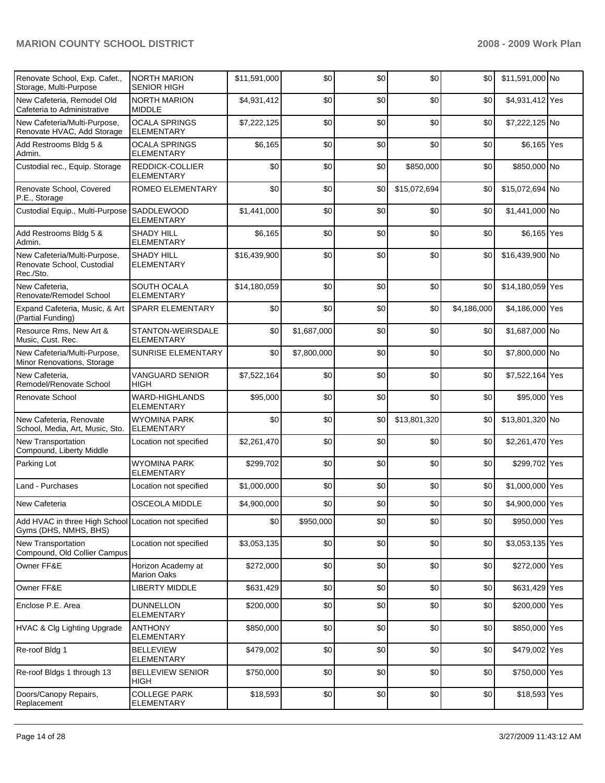| Renovate School, Exp. Cafet.,<br>Storage, Multi-Purpose                       | <b>NORTH MARION</b><br><b>SENIOR HIGH</b> | \$11,591,000 | \$0         | \$0 | \$0          | \$0         | \$11,591,000 No  |  |
|-------------------------------------------------------------------------------|-------------------------------------------|--------------|-------------|-----|--------------|-------------|------------------|--|
| New Cafeteria. Remodel Old<br>Cafeteria to Administrative                     | <b>NORTH MARION</b><br><b>MIDDLE</b>      | \$4,931,412  | \$0         | \$0 | \$0          | \$0         | \$4,931,412 Yes  |  |
| New Cafeteria/Multi-Purpose,<br>Renovate HVAC, Add Storage                    | <b>OCALA SPRINGS</b><br><b>ELEMENTARY</b> | \$7,222,125  | \$0         | \$0 | \$0          | \$0         | \$7,222,125 No   |  |
| Add Restrooms Bldg 5 &<br>Admin.                                              | <b>OCALA SPRINGS</b><br><b>ELEMENTARY</b> | \$6,165      | \$0         | \$0 | \$0          | \$0         | \$6,165 Yes      |  |
| Custodial rec., Equip. Storage                                                | REDDICK-COLLIER<br><b>ELEMENTARY</b>      | \$0          | \$0         | \$0 | \$850,000    | \$0         | \$850,000 No     |  |
| Renovate School, Covered<br>P.E., Storage                                     | ROMEO ELEMENTARY                          | \$0          | \$0         | \$0 | \$15,072,694 | \$0         | \$15,072,694 No  |  |
| Custodial Equip., Multi-Purpose SADDLEWOOD                                    | <b>ELEMENTARY</b>                         | \$1,441,000  | \$0         | \$0 | \$0          | \$0         | \$1,441,000 No   |  |
| Add Restrooms Bldg 5 &<br>Admin.                                              | <b>SHADY HILL</b><br><b>ELEMENTARY</b>    | \$6,165      | \$0         | \$0 | \$0          | \$0         | \$6,165 Yes      |  |
| New Cafeteria/Multi-Purpose,<br>Renovate School, Custodial<br>Rec./Sto.       | <b>SHADY HILL</b><br><b>ELEMENTARY</b>    | \$16,439,900 | \$0         | \$0 | \$0          | \$0         | \$16,439,900 No  |  |
| New Cafeteria,<br>Renovate/Remodel School                                     | SOUTH OCALA<br><b>ELEMENTARY</b>          | \$14,180,059 | \$0         | \$0 | \$0          | \$0         | \$14,180,059 Yes |  |
| Expand Cafeteria, Music, & Art<br>(Partial Funding)                           | <b>SPARR ELEMENTARY</b>                   | \$0          | \$0         | \$0 | \$0          | \$4,186,000 | \$4,186,000 Yes  |  |
| Resource Rms, New Art &<br>Music, Cust. Rec.                                  | STANTON-WEIRSDALE<br><b>ELEMENTARY</b>    | \$0          | \$1,687,000 | \$0 | \$0          | \$0         | \$1,687,000 No   |  |
| New Cafeteria/Multi-Purpose,<br>Minor Renovations, Storage                    | <b>SUNRISE ELEMENTARY</b>                 | \$0          | \$7,800,000 | \$0 | \$0          | \$0         | \$7,800,000 No   |  |
| New Cafeteria.<br>Remodel/Renovate School                                     | <b>VANGUARD SENIOR</b><br>HIGH            | \$7,522,164  | \$0         | \$0 | \$0          | \$0         | \$7,522,164 Yes  |  |
| Renovate School                                                               | WARD-HIGHLANDS<br><b>ELEMENTARY</b>       | \$95,000     | \$0         | \$0 | \$0          | \$0         | \$95,000 Yes     |  |
| New Cafeteria, Renovate<br>School, Media, Art, Music, Sto.                    | <b>WYOMINA PARK</b><br><b>ELEMENTARY</b>  | \$0          | \$0         | \$0 | \$13,801,320 | \$0         | \$13,801,320 No  |  |
| <b>New Transportation</b><br>Compound, Liberty Middle                         | Location not specified                    | \$2,261,470  | \$0         | \$0 | \$0          | \$0         | \$2,261,470 Yes  |  |
| Parking Lot                                                                   | WYOMINA PARK<br>ELEMENTARY                | \$299,702    | \$0         | \$0 | \$0          | \$0         | \$299,702 Yes    |  |
| Land - Purchases                                                              | Location not specified                    | \$1,000,000  | \$0         | \$0 | \$0          | \$0         | \$1,000,000 Yes  |  |
| New Cafeteria                                                                 | <b>OSCEOLA MIDDLE</b>                     | \$4,900,000  | \$0         | \$0 | \$0          | \$0         | \$4,900,000 Yes  |  |
| Add HVAC in three High School Location not specified<br>Gyms (DHS, NMHS, BHS) |                                           | \$0          | \$950,000   | \$0 | \$0          | \$0         | \$950,000 Yes    |  |
| <b>New Transportation</b><br>Compound, Old Collier Campus                     | Location not specified                    | \$3,053,135  | \$0         | \$0 | \$0          | \$0         | \$3,053,135 Yes  |  |
| Owner FF&E                                                                    | Horizon Academy at<br><b>Marion Oaks</b>  | \$272,000    | \$0         | \$0 | \$0          | \$0         | \$272,000 Yes    |  |
| Owner FF&E                                                                    | <b>LIBERTY MIDDLE</b>                     | \$631,429    | \$0         | \$0 | \$0          | \$0         | \$631,429 Yes    |  |
| Enclose P.E. Area                                                             | <b>DUNNELLON</b><br><b>ELEMENTARY</b>     | \$200,000    | \$0         | \$0 | \$0          | \$0         | \$200,000 Yes    |  |
| <b>HVAC &amp; Clg Lighting Upgrade</b>                                        | <b>ANTHONY</b><br><b>ELEMENTARY</b>       | \$850,000    | \$0         | \$0 | \$0          | \$0         | \$850,000 Yes    |  |
| Re-roof Bldg 1                                                                | <b>BELLEVIEW</b><br><b>ELEMENTARY</b>     | \$479,002    | \$0         | \$0 | \$0          | \$0         | \$479,002 Yes    |  |
| Re-roof Bldgs 1 through 13                                                    | <b>BELLEVIEW SENIOR</b><br><b>HIGH</b>    | \$750,000    | \$0         | \$0 | \$0          | \$0         | \$750,000 Yes    |  |
| Doors/Canopy Repairs,<br>Replacement                                          | <b>COLLEGE PARK</b><br>ELEMENTARY         | \$18,593     | \$0         | \$0 | \$0          | \$0         | \$18,593 Yes     |  |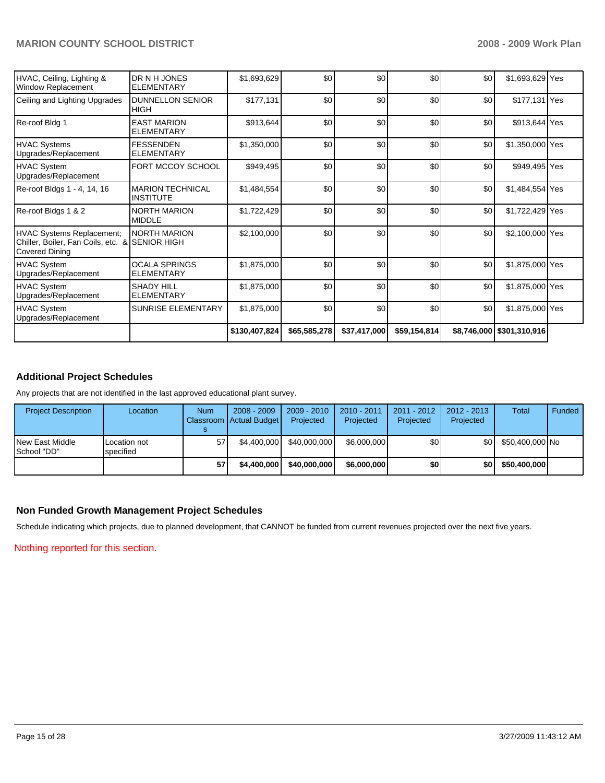|                                                                                                 |                                             | \$130,407,824 | \$65,585,278 | \$37,417,000 | \$59,154,814 |     | \$8,746,000   \$301,310,916 |  |
|-------------------------------------------------------------------------------------------------|---------------------------------------------|---------------|--------------|--------------|--------------|-----|-----------------------------|--|
| <b>HVAC System</b><br>Upgrades/Replacement                                                      | SUNRISE ELEMENTARY                          | \$1,875,000   | \$0          | \$0          | \$0          | \$0 | \$1,875,000 Yes             |  |
| <b>HVAC System</b><br>Upgrades/Replacement                                                      | <b>SHADY HILL</b><br><b>ELEMENTARY</b>      | \$1,875,000   | \$0          | \$0          | \$0          | \$0 | \$1,875,000 Yes             |  |
| <b>HVAC System</b><br>Upgrades/Replacement                                                      | <b>OCALA SPRINGS</b><br><b>ELEMENTARY</b>   | \$1,875,000   | \$0          | \$0          | \$0          | \$0 | \$1,875,000 Yes             |  |
| <b>HVAC Systems Replacement;</b><br>Chiller, Boiler, Fan Coils, etc. &<br><b>Covered Dining</b> | <b>NORTH MARION</b><br><b>SENIOR HIGH</b>   | \$2,100,000   | \$0          | \$0          | \$0          | \$0 | \$2,100,000 Yes             |  |
| Re-roof Bldgs 1 & 2                                                                             | <b>NORTH MARION</b><br><b>MIDDLE</b>        | \$1,722,429   | \$0          | \$0          | \$0          | \$0 | \$1,722,429 Yes             |  |
| Re-roof Bldgs 1 - 4, 14, 16                                                                     | <b>MARION TECHNICAL</b><br><b>INSTITUTE</b> | \$1,484,554   | \$0          | \$0          | \$0          | \$0 | \$1,484,554 Yes             |  |
| HVAC System<br>Upgrades/Replacement                                                             | FORT MCCOY SCHOOL                           | \$949,495     | \$0          | \$0          | \$0          | \$0 | \$949,495 Yes               |  |
| <b>HVAC Systems</b><br>Upgrades/Replacement                                                     | <b>FESSENDEN</b><br><b>ELEMENTARY</b>       | \$1,350,000   | \$0          | \$0          | \$0          | \$0 | \$1,350,000 Yes             |  |
| Re-roof Bldg 1                                                                                  | <b>EAST MARION</b><br><b>ELEMENTARY</b>     | \$913,644     | \$0          | \$0          | \$0          | \$0 | \$913,644 Yes               |  |
| Ceiling and Lighting Upgrades                                                                   | <b>DUNNELLON SENIOR</b><br><b>HIGH</b>      | \$177,131     | \$0          | \$0          | \$0          | \$0 | \$177,131 Yes               |  |
| HVAC, Ceiling, Lighting &<br><b>Window Replacement</b>                                          | DR N H JONES<br><b>ELEMENTARY</b>           | \$1,693,629   | \$0          | \$0          | \$0          | \$0 | \$1,693,629 Yes             |  |

# **Additional Project Schedules**

Any projects that are not identified in the last approved educational plant survey.

| <b>Project Description</b>        | Location                  | <b>Num</b> | $2008 - 2009$<br>Classroom Actual Budget | $2009 - 2010$<br>Projected | $2010 - 2011$<br>Projected | $2011 - 2012$<br>Projected | 2012 - 2013<br>Projected | Total           | Funded |
|-----------------------------------|---------------------------|------------|------------------------------------------|----------------------------|----------------------------|----------------------------|--------------------------|-----------------|--------|
| lNew East Middle<br>l School "DD" | Location not<br>specified | 57         | \$4,400,000                              | \$40,000,000               | \$6,000,000                | \$0 I                      | SO L                     | \$50.400.000 No |        |
|                                   |                           |            | \$4,400,000                              | \$40,000,000               | \$6,000,000                | \$0                        | \$0 I                    | \$50,400,000    |        |

### **Non Funded Growth Management Project Schedules**

Schedule indicating which projects, due to planned development, that CANNOT be funded from current revenues projected over the next five years.

Nothing reported for this section.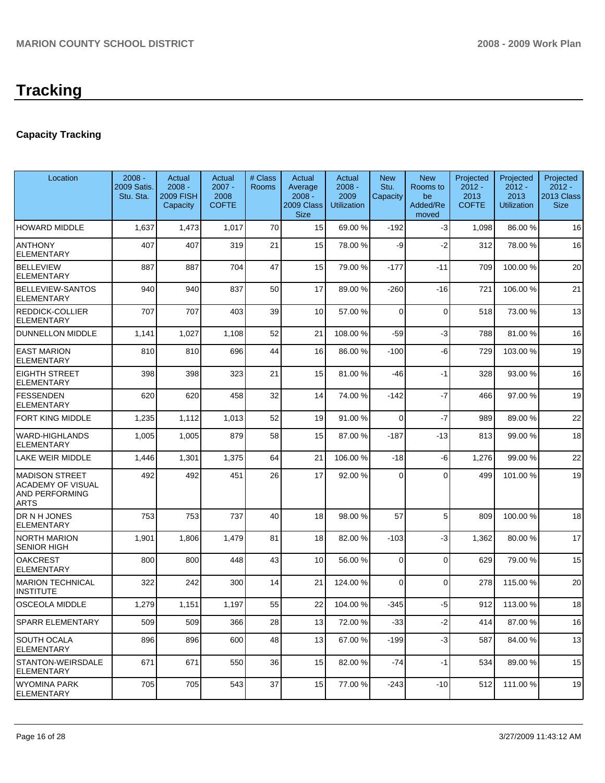# **Tracking**

# **Capacity Tracking**

| Location                                                                           | $2008 -$<br>2009 Satis.<br>Stu. Sta. | Actual<br>$2008 -$<br><b>2009 FISH</b><br>Capacity | Actual<br>$2007 -$<br>2008<br><b>COFTE</b> | # Class<br>Rooms | Actual<br>Average<br>$2008 -$<br>2009 Class<br><b>Size</b> | Actual<br>$2008 -$<br>2009<br><b>Utilization</b> | <b>New</b><br>Stu.<br>Capacity | <b>New</b><br>Rooms to<br>be<br>Added/Re<br>moved | Projected<br>$2012 -$<br>2013<br><b>COFTE</b> | Projected<br>$2012 -$<br>2013<br>Utilization | Projected<br>$2012 -$<br>2013 Class<br><b>Size</b> |
|------------------------------------------------------------------------------------|--------------------------------------|----------------------------------------------------|--------------------------------------------|------------------|------------------------------------------------------------|--------------------------------------------------|--------------------------------|---------------------------------------------------|-----------------------------------------------|----------------------------------------------|----------------------------------------------------|
| <b>HOWARD MIDDLE</b>                                                               | 1,637                                | 1,473                                              | 1,017                                      | 70               | 15                                                         | 69.00 %                                          | $-192$                         | $-3$                                              | 1,098                                         | 86.00 %                                      | 16                                                 |
| <b>ANTHONY</b><br><b>ELEMENTARY</b>                                                | 407                                  | 407                                                | 319                                        | 21               | 15                                                         | 78.00 %                                          | -9                             | $-2$                                              | 312                                           | 78.00 %                                      | 16                                                 |
| <b>BELLEVIEW</b><br>ELEMENTARY                                                     | 887                                  | 887                                                | 704                                        | 47               | 15                                                         | 79.00 %                                          | $-177$                         | $-11$                                             | 709                                           | 100.00%                                      | 20                                                 |
| <b>BELLEVIEW-SANTOS</b><br>ELEMENTARY                                              | 940                                  | 940                                                | 837                                        | 50               | 17                                                         | 89.00 %                                          | -260                           | $-16$                                             | 721                                           | 106.00 %                                     | 21                                                 |
| REDDICK-COLLIER<br>ELEMENTARY                                                      | 707                                  | 707                                                | 403                                        | 39               | 10                                                         | 57.00 %                                          | $\Omega$                       | $\mathbf 0$                                       | 518                                           | 73.00 %                                      | 13                                                 |
| DUNNELLON MIDDLE                                                                   | 1,141                                | 1,027                                              | 1,108                                      | 52               | 21                                                         | 108.00 %                                         | $-59$                          | -3                                                | 788                                           | 81.00 %                                      | 16                                                 |
| <b>EAST MARION</b><br><b>ELEMENTARY</b>                                            | 810                                  | 810                                                | 696                                        | 44               | 16                                                         | 86.00 %                                          | $-100$                         | -6                                                | 729                                           | 103.00 %                                     | 19                                                 |
| <b>EIGHTH STREET</b><br><b>ELEMENTARY</b>                                          | 398                                  | 398                                                | 323                                        | 21               | 15                                                         | 81.00 %                                          | -46                            | -1                                                | 328                                           | 93.00 %                                      | 16                                                 |
| <b>FESSENDEN</b><br><b>ELEMENTARY</b>                                              | 620                                  | 620                                                | 458                                        | 32               | 14                                                         | 74.00 %                                          | $-142$                         | $-7$                                              | 466                                           | 97.00 %                                      | 19                                                 |
| FORT KING MIDDLE                                                                   | 1,235                                | 1,112                                              | 1,013                                      | 52               | 19                                                         | 91.00 %                                          | $\Omega$                       | $-7$                                              | 989                                           | 89.00 %                                      | 22                                                 |
| <b>WARD-HIGHLANDS</b><br><b>ELEMENTARY</b>                                         | 1,005                                | 1,005                                              | 879                                        | 58               | 15                                                         | 87.00 %                                          | $-187$                         | $-13$                                             | 813                                           | 99.00 %                                      | 18                                                 |
| LAKE WEIR MIDDLE                                                                   | 1,446                                | 1,301                                              | 1,375                                      | 64               | 21                                                         | 106.00 %                                         | $-18$                          | -6                                                | 1,276                                         | 99.00 %                                      | 22                                                 |
| <b>MADISON STREET</b><br><b>ACADEMY OF VISUAL</b><br>AND PERFORMING<br><b>ARTS</b> | 492                                  | 492                                                | 451                                        | 26               | 17                                                         | 92.00 %                                          | $\Omega$                       | $\Omega$                                          | 499                                           | 101.00 %                                     | 19                                                 |
| DR N H JONES<br>ELEMENTARY                                                         | 753                                  | 753                                                | 737                                        | 40               | 18                                                         | 98.00 %                                          | 57                             | 5                                                 | 809                                           | 100.00 %                                     | 18                                                 |
| <b>NORTH MARION</b><br><b>SENIOR HIGH</b>                                          | 1,901                                | 1,806                                              | 1,479                                      | 81               | 18                                                         | 82.00 %                                          | $-103$                         | -3                                                | 1,362                                         | 80.00 %                                      | 17                                                 |
| <b>OAKCREST</b><br><b>ELEMENTARY</b>                                               | 800                                  | 800                                                | 448                                        | 43               | 10                                                         | 56.00 %                                          | $\Omega$                       | $\Omega$                                          | 629                                           | 79.00 %                                      | 15                                                 |
| <b>MARION TECHNICAL</b><br><b>INSTITUTE</b>                                        | 322                                  | 242                                                | 300                                        | 14               | 21                                                         | 124.00 %                                         | $\Omega$                       | $\mathbf{0}$                                      | 278                                           | 115.00 %                                     | 20                                                 |
| <b>OSCEOLA MIDDLE</b>                                                              | 1,279                                | 1,151                                              | 1,197                                      | 55               | 22                                                         | 104.00%                                          | $-345$                         | $-5$                                              | 912                                           | 113.00 %                                     | 18                                                 |
| SPARR ELEMENTARY                                                                   | 509                                  | 509                                                | 366                                        | 28               | 13                                                         | 72.00 %                                          | $-33$                          | $-2$                                              | 414                                           | 87.00 %                                      | 16                                                 |
| SOUTH OCALA<br>ELEMENTARY                                                          | 896                                  | 896                                                | 600                                        | 48               | 13                                                         | 67.00 %                                          | $-199$                         | $-3$                                              | 587                                           | 84.00 %                                      | 13                                                 |
| STANTON-WEIRSDALE<br>ELEMENTARY                                                    | 671                                  | 671                                                | 550                                        | 36               | 15                                                         | 82.00 %                                          | -74                            | $-1$                                              | 534                                           | 89.00 %                                      | 15                                                 |
| WYOMINA PARK<br><b>ELEMENTARY</b>                                                  | 705                                  | 705                                                | 543                                        | 37               | 15                                                         | 77.00 %                                          | $-243$                         | $-10$                                             | 512                                           | 111.00 %                                     | 19                                                 |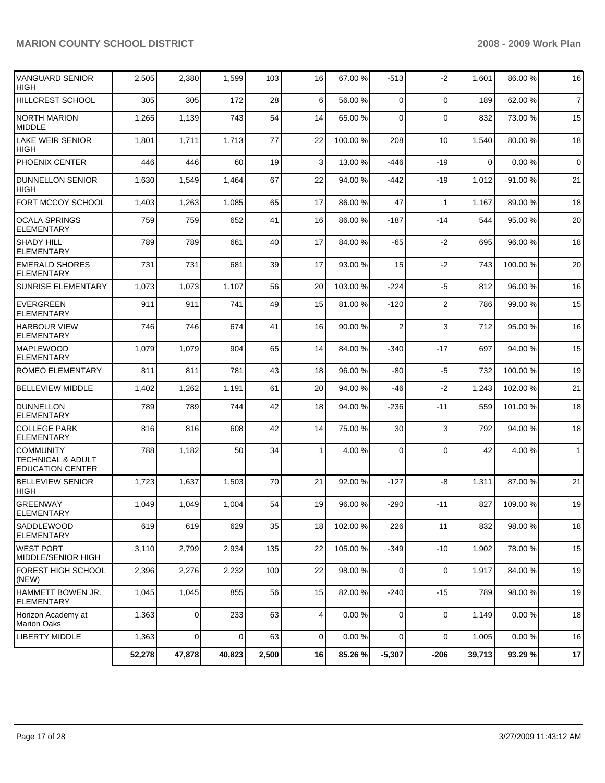| <b>VANGUARD SENIOR</b><br><b>HIGH</b>                            | 2,505  | 2,380       | 1,599       | 103   | 16             | 67.00 %  | $-513$         | $-2$           | 1,601    | 86.00 %  | 16             |
|------------------------------------------------------------------|--------|-------------|-------------|-------|----------------|----------|----------------|----------------|----------|----------|----------------|
| HILLCREST SCHOOL                                                 | 305    | 305         | 172         | 28    | 6              | 56.00 %  | $\Omega$       | 0              | 189      | 62.00 %  | $\overline{7}$ |
| NORTH MARION<br><b>MIDDLE</b>                                    | 1,265  | 1,139       | 743         | 54    | 14             | 65.00 %  | $\Omega$       | $\Omega$       | 832      | 73.00 %  | 15             |
| <b>LAKE WEIR SENIOR</b><br><b>HIGH</b>                           | 1,801  | 1,711       | 1,713       | 77    | 22             | 100.00 % | 208            | 10             | 1,540    | 80.00 %  | 18             |
| PHOENIX CENTER                                                   | 446    | 446         | 60          | 19    | 3              | 13.00 %  | $-446$         | $-19$          | $\Omega$ | 0.00%    | $\overline{0}$ |
| <b>DUNNELLON SENIOR</b><br>HIGH                                  | 1,630  | 1,549       | 1,464       | 67    | 22             | 94.00 %  | $-442$         | $-19$          | 1,012    | 91.00 %  | 21             |
| FORT MCCOY SCHOOL                                                | 1,403  | 1,263       | 1,085       | 65    | 17             | 86.00 %  | 47             | 1              | 1,167    | 89.00 %  | 18             |
| <b>OCALA SPRINGS</b><br><b>ELEMENTARY</b>                        | 759    | 759         | 652         | 41    | 16             | 86.00 %  | $-187$         | -14            | 544      | 95.00 %  | 20             |
| <b>SHADY HILL</b><br>ELEMENTARY                                  | 789    | 789         | 661         | 40    | 17             | 84.00 %  | -65            | $-2$           | 695      | 96.00 %  | 18             |
| <b>EMERALD SHORES</b><br><b>ELEMENTARY</b>                       | 731    | 731         | 681         | 39    | 17             | 93.00 %  | 15             | $-2$           | 743      | 100.00%  | 20             |
| <b>SUNRISE ELEMENTARY</b>                                        | 1,073  | 1,073       | 1,107       | 56    | 20             | 103.00 % | -224           | -5             | 812      | 96.00 %  | 16             |
| <b>EVERGREEN</b><br><b>ELEMENTARY</b>                            | 911    | 911         | 741         | 49    | 15             | 81.00 %  | $-120$         | $\overline{2}$ | 786      | 99.00 %  | 15             |
| <b>HARBOUR VIEW</b><br><b>ELEMENTARY</b>                         | 746    | 746         | 674         | 41    | 16             | 90.00 %  | $\overline{2}$ | 3              | 712      | 95.00 %  | 16             |
| <b>MAPLEWOOD</b><br>ELEMENTARY                                   | 1,079  | 1,079       | 904         | 65    | 14             | 84.00 %  | $-340$         | $-17$          | 697      | 94.00 %  | 15             |
| ROMEO ELEMENTARY                                                 | 811    | 811         | 781         | 43    | 18             | 96.00 %  | $-80$          | $-5$           | 732      | 100.00%  | 19             |
| <b>BELLEVIEW MIDDLE</b>                                          | 1,402  | 1,262       | 1,191       | 61    | 20             | 94.00 %  | -46            | $-2$           | 1,243    | 102.00%  | 21             |
| <b>DUNNELLON</b><br><b>ELEMENTARY</b>                            | 789    | 789         | 744         | 42    | 18             | 94.00 %  | -236           | $-11$          | 559      | 101.00 % | 18             |
| <b>COLLEGE PARK</b><br><b>ELEMENTARY</b>                         | 816    | 816         | 608         | 42    | 14             | 75.00 %  | 30             | 3              | 792      | 94.00 %  | 18             |
| <b>COMMUNITY</b><br>TECHNICAL & ADULT<br><b>EDUCATION CENTER</b> | 788    | 1,182       | 50          | 34    | 1              | 4.00 %   | $\Omega$       | $\Omega$       | 42       | 4.00 %   | 1              |
| <b>BELLEVIEW SENIOR</b><br><b>HIGH</b>                           | 1,723  | 1,637       | 1,503       | 70    | 21             | 92.00 %  | $-127$         | -8             | 1,311    | 87.00 %  | 21             |
| <b>GREENWAY</b><br><b>ELEMENTARY</b>                             | 1,049  | 1,049       | 1,004       | 54    | 19             | 96.00 %  | $-290$         | $-11$          | 827      | 109.00 % | 19             |
| <b>SADDLEWOOD</b><br><b>ELEMENTARY</b>                           | 619    | 619         | 629         | 35    | 18             | 102.00 % | 226            | 11             | 832      | 98.00 %  | 18             |
| IWEST PORT<br>MIDDLE/SENIOR HIGH                                 | 3,110  | 2,799       | 2,934       | 135   | 22             | 105.00 % | $-349$         | $-10$          | 1,902    | 78.00 %  | 15             |
| <b>FOREST HIGH SCHOOL</b><br>(NEW)                               | 2,396  | 2,276       | 2,232       | 100   | 22             | 98.00 %  | 0              | $\mathbf 0$    | 1,917    | 84.00 %  | 19             |
| HAMMETT BOWEN JR.<br>ELEMENTARY                                  | 1,045  | 1,045       | 855         | 56    | 15             | 82.00 %  | $-240$         | $-15$          | 789      | 98.00 %  | 19             |
| Horizon Academy at<br><b>Marion Oaks</b>                         | 1,363  | $\mathbf 0$ | 233         | 63    | $\overline{4}$ | 0.00%    | $\overline{0}$ | $\mathbf 0$    | 1,149    | 0.00%    | 18             |
| LIBERTY MIDDLE                                                   | 1,363  | 0           | $\mathbf 0$ | 63    | $\overline{0}$ | 0.00%    | $\Omega$       | 0              | 1,005    | 0.00%    | 16             |
|                                                                  | 52,278 | 47,878      | 40,823      | 2,500 | 16             | 85.26 %  | $-5,307$       | $-206$         | 39,713   | 93.29 %  | 17             |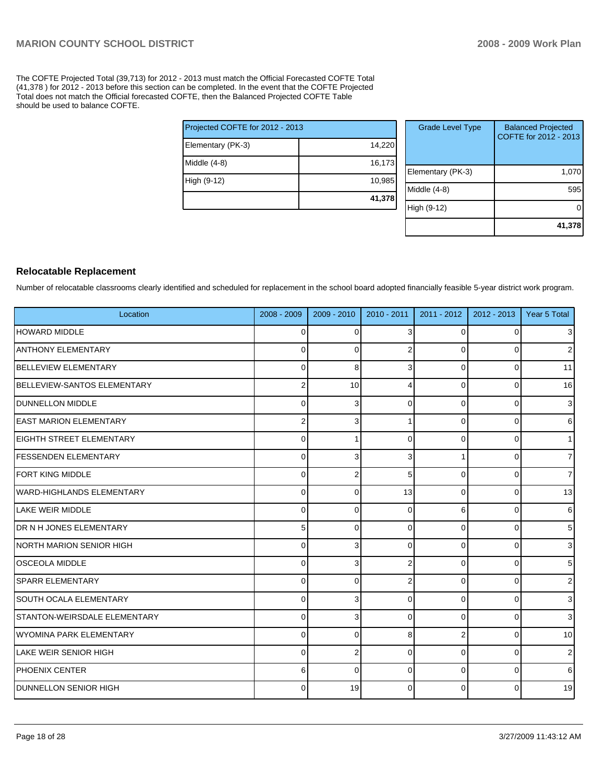The COFTE Projected Total (39,713) for 2012 - 2013 must match the Official Forecasted COFTE Total (41,378 ) for 2012 - 2013 before this section can be completed. In the event that the COFTE Projected Total does not match the Official forecasted COFTE, then the Balanced Projected COFTE Table should be used to balance COFTE.

| Projected COFTE for 2012 - 2013 |        |
|---------------------------------|--------|
| Elementary (PK-3)               | 14,220 |
| Middle (4-8)                    | 16,173 |
| High (9-12)                     | 10,985 |
|                                 | 41,378 |

| <b>Grade Level Type</b> | <b>Balanced Projected</b><br>COFTE for 2012 - 2013 |
|-------------------------|----------------------------------------------------|
| Elementary (PK-3)       | 1,070                                              |
| Middle $(4-8)$          | 595                                                |
| High (9-12)             |                                                    |
|                         | 41,378                                             |

### **Relocatable Replacement**

Number of relocatable classrooms clearly identified and scheduled for replacement in the school board adopted financially feasible 5-year district work program.

| Location                         | 2008 - 2009 | $2009 - 2010$  | $2010 - 2011$ | 2011 - 2012 | $2012 - 2013$  | Year 5 Total   |
|----------------------------------|-------------|----------------|---------------|-------------|----------------|----------------|
| HOWARD MIDDLE                    | 0           | $\Omega$       | 3             |             | $\Omega$       | $\overline{3}$ |
| <b>ANTHONY ELEMENTARY</b>        | 0           | $\Omega$       | 2             | 0           | $\Omega$       | 2 <sub>1</sub> |
| <b>BELLEVIEW ELEMENTARY</b>      | $\Omega$    | 8              | 3             | 0           | $\Omega$       | 11             |
| BELLEVIEW-SANTOS ELEMENTARY      | 2           | 10             | Δ             | $\Omega$    | 0              | 16             |
| <b>IDUNNELLON MIDDLE</b>         | 0           | 3              | 0             | 0           | $\overline{0}$ | $\mathbf{3}$   |
| <b>IEAST MARION ELEMENTARY</b>   | 2           | 3              |               | $\Omega$    | $\Omega$       | $6 \mid$       |
| <b>IEIGHTH STREET ELEMENTARY</b> | $\Omega$    |                | $\Omega$      | $\Omega$    | 0              | 1              |
| <b>FESSENDEN ELEMENTARY</b>      | $\Omega$    | 3              | 3             |             | $\Omega$       | $\overline{7}$ |
| FORT KING MIDDLE                 | 0           | $\overline{2}$ | 5             | 0           | $\Omega$       | $\overline{7}$ |
| WARD-HIGHLANDS ELEMENTARY        | $\Omega$    | $\Omega$       | 13            | $\Omega$    | $\overline{0}$ | 13             |
| <b>LAKE WEIR MIDDLE</b>          | 0           | $\Omega$       | 0             | 6           | $\overline{0}$ | 6              |
| <b>IDR N H JONES ELEMENTARY</b>  | 5           | $\Omega$       | 0             | 0           | 0              | 5 <sub>5</sub> |
| NORTH MARION SENIOR HIGH         | 0           | 3              | $\Omega$      | $\Omega$    | $\overline{0}$ | 3 <sup>1</sup> |
| <b>OSCEOLA MIDDLE</b>            | $\Omega$    | 3              | 2             | $\Omega$    | $\Omega$       | 5 <sup>1</sup> |
| <b>SPARR ELEMENTARY</b>          | 0           | $\Omega$       | 2             | $\Omega$    | $\Omega$       | $\overline{2}$ |
| <b>SOUTH OCALA ELEMENTARY</b>    | $\Omega$    | 3              | 0             | $\Omega$    | $\Omega$       | 3              |
| STANTON-WEIRSDALE ELEMENTARY     | $\Omega$    | 3              | $\Omega$      | $\Omega$    | 0              | $\overline{3}$ |
| WYOMINA PARK ELEMENTARY          | $\Omega$    | $\Omega$       | 8             | 2           | $\Omega$       | 10             |
| LAKE WEIR SENIOR HIGH            | 0           | $\overline{2}$ | $\Omega$      | 0           | $\overline{0}$ | 2 <sub>1</sub> |
| <b>PHOENIX CENTER</b>            | 6           | $\Omega$       | 0             | $\Omega$    | 0              | 6              |
| <b>IDUNNELLON SENIOR HIGH</b>    | $\Omega$    | 19             | $\Omega$      | $\Omega$    | 0              | 19             |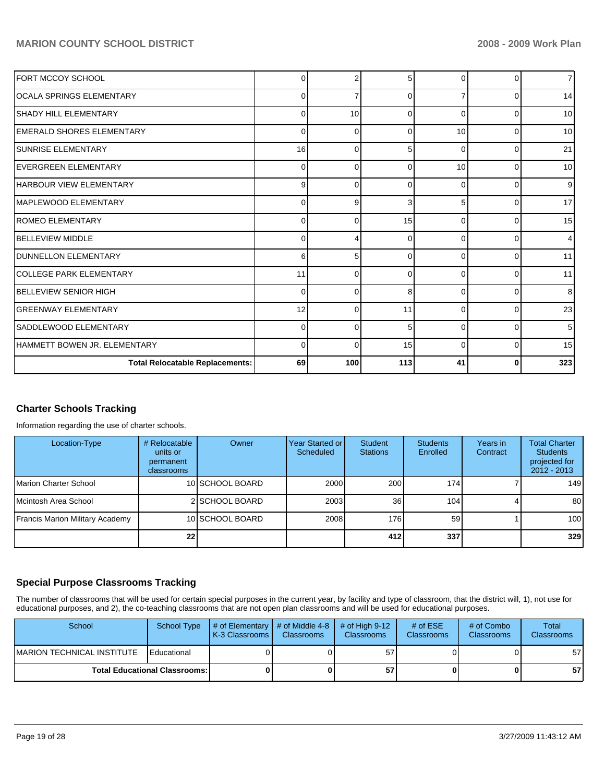| FORT MCCOY SCHOOL                      | 0           |          | 5        | $\Omega$ | 0        | $\overline{7}$ |
|----------------------------------------|-------------|----------|----------|----------|----------|----------------|
| IOCALA SPRINGS ELEMENTARY              | $\mathbf 0$ |          | 0        |          | 0        | 14             |
| <b>SHADY HILL ELEMENTARY</b>           | $\mathbf 0$ | 10       | 0        | $\Omega$ | 0        | 10             |
| <b>EMERALD SHORES ELEMENTARY</b>       | $\Omega$    | $\Omega$ | $\Omega$ | 10       | $\Omega$ | 10             |
| <b>SUNRISE ELEMENTARY</b>              | 16          | $\Omega$ | 5        | $\Omega$ | 0        | 21             |
| IEVERGREEN ELEMENTARY                  | $\mathbf 0$ | 0        | 0        | 10       | 0        | 10             |
| HARBOUR VIEW ELEMENTARY                | 9           | 0        | 0        | 0        | 0        | 9              |
| <b>IMAPLEWOOD ELEMENTARY</b>           | $\mathbf 0$ | 9        | 3        | 5        | 0        | 17             |
| <b>IROMEO ELEMENTARY</b>               | 0           | $\Omega$ | 15       | $\Omega$ | 0        | 15             |
| <b>BELLEVIEW MIDDLE</b>                | 0           | Δ        | $\Omega$ | $\Omega$ | O        | 4              |
| <b>IDUNNELLON ELEMENTARY</b>           | 6           | 5        | $\Omega$ | 0        | 0        | 11             |
| <b>lCOLLEGE PARK ELEMENTARY</b>        | 11          | 0        | 0        | $\Omega$ | 0        | 11             |
| <b>BELLEVIEW SENIOR HIGH</b>           | $\mathbf 0$ | $\Omega$ | 8        | $\Omega$ | 0        | 8              |
| IGREENWAY ELEMENTARY                   | 12          | $\Omega$ | 11       | $\Omega$ | 0        | 23             |
| SADDLEWOOD ELEMENTARY                  | $\Omega$    | $\Omega$ | 5        | $\Omega$ | $\Omega$ | 5              |
| HAMMETT BOWEN JR. ELEMENTARY           | $\mathbf 0$ | $\Omega$ | 15       | $\Omega$ | 0        | 15             |
| <b>Total Relocatable Replacements:</b> | 69          | 100      | 113      | 41       | 0        | 323            |

# **Charter Schools Tracking**

Information regarding the use of charter schools.

| Location-Type                   | # Relocatable<br>units or<br>permanent<br>classrooms | Owner           | Year Started or <b>I</b><br>Scheduled | Student<br><b>Stations</b> | <b>Students</b><br>Enrolled | Years in<br>Contract | <b>Total Charter</b><br><b>Students</b><br>projected for<br>$2012 - 2013$ |
|---------------------------------|------------------------------------------------------|-----------------|---------------------------------------|----------------------------|-----------------------------|----------------------|---------------------------------------------------------------------------|
| <b>IMarion Charter School</b>   |                                                      | 10 SCHOOL BOARD | 2000                                  | 200                        | 174                         |                      | 149                                                                       |
| Mcintosh Area School            |                                                      | 2 SCHOOL BOARD  | 2003                                  | 36                         | 104                         |                      | 80                                                                        |
| Francis Marion Military Academy |                                                      | 10 SCHOOL BOARD | 2008                                  | 176                        | 59                          |                      | 100 <sub>l</sub>                                                          |
|                                 | 22                                                   |                 |                                       | 412 l                      | 337                         |                      | 329                                                                       |

# **Special Purpose Classrooms Tracking**

The number of classrooms that will be used for certain special purposes in the current year, by facility and type of classroom, that the district will, 1), not use for educational purposes, and 2), the co-teaching classrooms that are not open plan classrooms and will be used for educational purposes.

| School                                 | School Type          | $\#$ of Elementary $\#$ of Middle 4-8<br><b>IK-3 Classrooms L</b> | <b>Classrooms</b> | $\#$ of High 9-12<br><b>Classrooms</b> | # of $ESE$<br><b>Classrooms</b> | # of Combo<br><b>Classrooms</b> | Total<br><b>Classrooms</b> |
|----------------------------------------|----------------------|-------------------------------------------------------------------|-------------------|----------------------------------------|---------------------------------|---------------------------------|----------------------------|
| IMARION TECHNICAL INSTITUTE            | <b>I</b> Educational |                                                                   |                   | 57                                     |                                 |                                 | 57                         |
| <b>Total Educational Classrooms: I</b> |                      |                                                                   | 57                |                                        | 0                               | 57                              |                            |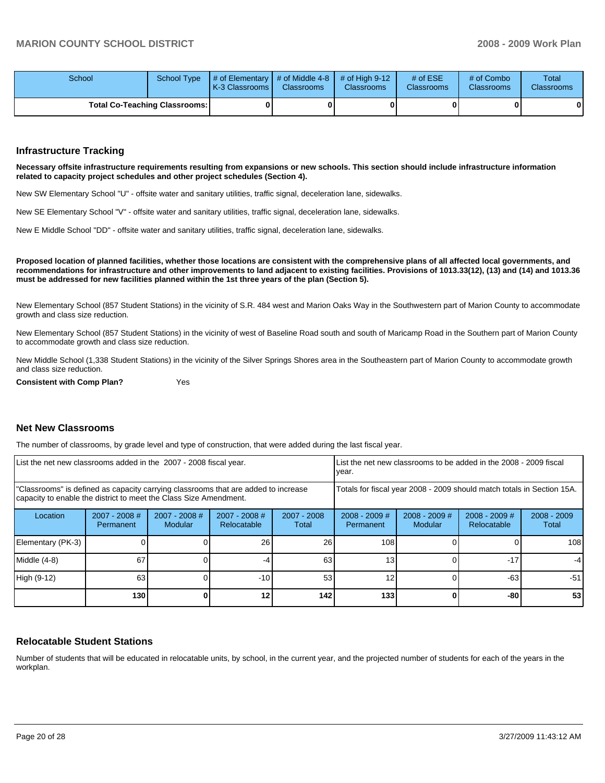| School                               |  | School Type $\left  \frac{1}{2}$ of Elementary $\left  \frac{1}{2}$ of Middle 4-8 $\left  \frac{1}{2}$ of High 9-12<br><b>IK-3 Classrooms L</b> | <b>Classrooms</b> | <b>Classrooms</b> | # of $ESE$<br><b>Classrooms</b> | # of Combo<br><b>Classrooms</b> | Total<br><b>Classrooms</b> |
|--------------------------------------|--|-------------------------------------------------------------------------------------------------------------------------------------------------|-------------------|-------------------|---------------------------------|---------------------------------|----------------------------|
| <b>Total Co-Teaching Classrooms:</b> |  |                                                                                                                                                 |                   | 01                |                                 | 0                               | 0                          |

### **Infrastructure Tracking**

**Necessary offsite infrastructure requirements resulting from expansions or new schools. This section should include infrastructure information related to capacity project schedules and other project schedules (Section 4).** 

New SW Elementary School "U" - offsite water and sanitary utilities, traffic signal, deceleration lane, sidewalks.

New SE Elementary School "V" - offsite water and sanitary utilities, traffic signal, deceleration lane, sidewalks.

New E Middle School "DD" - offsite water and sanitary utilities, traffic signal, deceleration lane, sidewalks.

**Proposed location of planned facilities, whether those locations are consistent with the comprehensive plans of all affected local governments, and recommendations for infrastructure and other improvements to land adjacent to existing facilities. Provisions of 1013.33(12), (13) and (14) and 1013.36 must be addressed for new facilities planned within the 1st three years of the plan (Section 5).** 

New Elementary School (857 Student Stations) in the vicinity of S.R. 484 west and Marion Oaks Way in the Southwestern part of Marion County to accommodate growth and class size reduction.

New Elementary School (857 Student Stations) in the vicinity of west of Baseline Road south and south of Maricamp Road in the Southern part of Marion County to accommodate growth and class size reduction.

New Middle School (1,338 Student Stations) in the vicinity of the Silver Springs Shores area in the Southeastern part of Marion County to accommodate growth and class size reduction.

**Consistent with Comp Plan?** Yes

### **Net New Classrooms**

The number of classrooms, by grade level and type of construction, that were added during the last fiscal year.

| List the net new classrooms added in the 2007 - 2008 fiscal year.                                                                                       |                                                                        |                          | List the net new classrooms to be added in the 2008 - 2009 fiscal<br>year. |                        |                              |                            |                                |                        |
|---------------------------------------------------------------------------------------------------------------------------------------------------------|------------------------------------------------------------------------|--------------------------|----------------------------------------------------------------------------|------------------------|------------------------------|----------------------------|--------------------------------|------------------------|
| "Classrooms" is defined as capacity carrying classrooms that are added to increase<br>capacity to enable the district to meet the Class Size Amendment. | Totals for fiscal year 2008 - 2009 should match totals in Section 15A. |                          |                                                                            |                        |                              |                            |                                |                        |
| Location                                                                                                                                                | $2007 - 2008$ #<br>Permanent                                           | 2007 - 2008 #<br>Modular | $2007 - 2008$ #<br>Relocatable                                             | $2007 - 2008$<br>Total | $2008 - 2009$ #<br>Permanent | $2008 - 2009$ #<br>Modular | $2008 - 2009$ #<br>Relocatable | $2008 - 2009$<br>Total |
| Elementary (PK-3)                                                                                                                                       |                                                                        |                          | 26                                                                         | 26                     | 108                          |                            |                                | 108                    |
| Middle (4-8)                                                                                                                                            | 67                                                                     |                          |                                                                            | 63                     | 13                           |                            | $-17$                          | $-4$                   |
| High (9-12)                                                                                                                                             | 63                                                                     |                          | $-10$                                                                      | 53                     | 12                           |                            | $-63$                          | -51                    |
|                                                                                                                                                         | 130                                                                    |                          | 12                                                                         | 142                    | 133                          |                            | -80                            | 53                     |

### **Relocatable Student Stations**

Number of students that will be educated in relocatable units, by school, in the current year, and the projected number of students for each of the years in the workplan.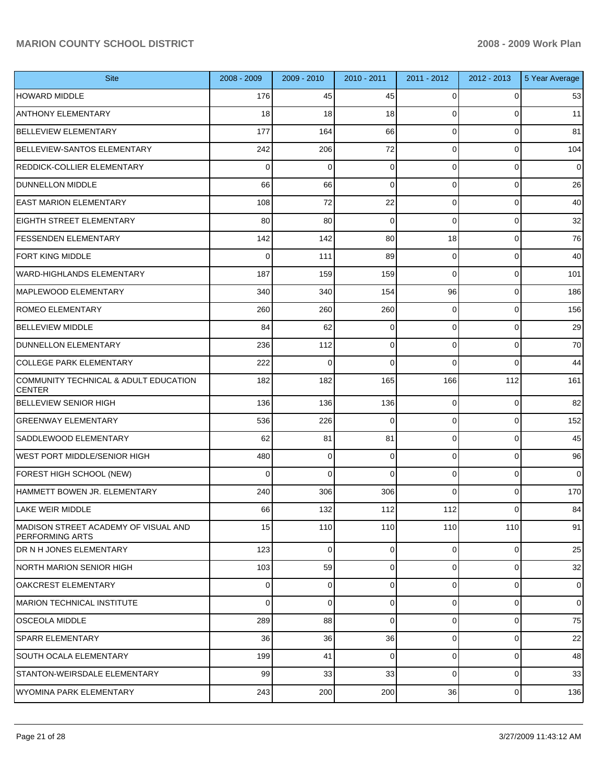| <b>Site</b>                                                    | 2008 - 2009 | $2009 - 2010$ | 2010 - 2011 | 2011 - 2012 | 2012 - 2013 | 5 Year Average |
|----------------------------------------------------------------|-------------|---------------|-------------|-------------|-------------|----------------|
| <b>HOWARD MIDDLE</b>                                           | 176         | 45            | 45          | 0           | 0           | 53             |
| <b>ANTHONY ELEMENTARY</b>                                      | 18          | 18            | 18          | 0           | 0           | 11             |
| <b>BELLEVIEW ELEMENTARY</b>                                    | 177         | 164           | 66          | 0           | $\mathbf 0$ | 81             |
| <b>BELLEVIEW-SANTOS ELEMENTARY</b>                             | 242         | 206           | 72          | 0           | $\mathbf 0$ | 104            |
| <b>REDDICK-COLLIER ELEMENTARY</b>                              | 0           | 0             | $\mathbf 0$ | 0           | $\mathbf 0$ | 0              |
| <b>DUNNELLON MIDDLE</b>                                        | 66          | 66            | $\mathbf 0$ | 0           | $\mathbf 0$ | 26             |
| <b>EAST MARION ELEMENTARY</b>                                  | 108         | 72            | 22          | 0           | $\mathbf 0$ | 40             |
| <b>EIGHTH STREET ELEMENTARY</b>                                | 80          | 80            | 0           | 0           | $\mathbf 0$ | 32             |
| <b>FESSENDEN ELEMENTARY</b>                                    | 142         | 142           | 80          | 18          | $\mathbf 0$ | 76             |
| <b>FORT KING MIDDLE</b>                                        | 0           | 111           | 89          | 0           | $\mathbf 0$ | 40             |
| <b>WARD-HIGHLANDS ELEMENTARY</b>                               | 187         | 159           | 159         | 0           | $\mathbf 0$ | 101            |
| <b>MAPLEWOOD ELEMENTARY</b>                                    | 340         | 340           | 154         | 96          | $\mathbf 0$ | 186            |
| <b>ROMEO ELEMENTARY</b>                                        | 260         | 260           | 260         | 0           | $\mathbf 0$ | 156            |
| <b>BELLEVIEW MIDDLE</b>                                        | 84          | 62            | 0           | 0           | $\mathbf 0$ | 29             |
| DUNNELLON ELEMENTARY                                           | 236         | 112           | 0           | 0           | $\mathbf 0$ | 70             |
| <b>COLLEGE PARK ELEMENTARY</b>                                 | 222         | 0             | 0           | 0           | $\Omega$    | 44             |
| COMMUNITY TECHNICAL & ADULT EDUCATION<br><b>CENTER</b>         | 182         | 182           | 165         | 166         | 112         | 161            |
| <b>BELLEVIEW SENIOR HIGH</b>                                   | 136         | 136           | 136         | 0           | $\mathbf 0$ | 82             |
| <b>GREENWAY ELEMENTARY</b>                                     | 536         | 226           | $\mathbf 0$ | 0           | $\mathbf 0$ | 152            |
| <b>SADDLEWOOD ELEMENTARY</b>                                   | 62          | 81            | 81          | 0           | $\mathbf 0$ | 45             |
| IWEST PORT MIDDLE/SENIOR HIGH                                  | 480         | $\mathbf 0$   | 0           | 0           | $\mathbf 0$ | 96             |
| FOREST HIGH SCHOOL (NEW)                                       | 0           | $\mathbf 0$   | $\mathbf 0$ | 0           | $\mathbf 0$ | $\mathbf 0$    |
| HAMMETT BOWEN JR. ELEMENTARY                                   | 240         | 306           | 306         | $\Omega$    | $\mathbf 0$ | 170            |
| <b>LAKE WEIR MIDDLE</b>                                        | 66          | 132           | 112         | 112         | 0           | 84             |
| MADISON STREET ACADEMY OF VISUAL AND<br><b>PERFORMING ARTS</b> | 15          | 110           | 110         | 110         | 110         | 91             |
| <b>DR N H JONES ELEMENTARY</b>                                 | 123         | $\mathbf 0$   | $\Omega$    | $\Omega$    | $\Omega$    | 25             |
| NORTH MARION SENIOR HIGH                                       | 103         | 59            | $\mathbf 0$ | $\Omega$    | $\mathbf 0$ | 32             |
| OAKCREST ELEMENTARY                                            | $\Omega$    | $\mathbf 0$   | $\Omega$    | $\Omega$    | $\mathbf 0$ | $\overline{0}$ |
| MARION TECHNICAL INSTITUTE                                     | $\Omega$    | $\mathbf 0$   | $\mathbf 0$ | $\Omega$    | $\mathbf 0$ | $\overline{0}$ |
| <b>OSCEOLA MIDDLE</b>                                          | 289         | 88            | $\Omega$    | 0           | $\mathbf 0$ | 75             |
| <b>SPARR ELEMENTARY</b>                                        | 36          | 36            | 36          | $\Omega$    | $\mathbf 0$ | 22             |
| <b>SOUTH OCALA ELEMENTARY</b>                                  | 199         | 41            | $\Omega$    | $\Omega$    | $\mathbf 0$ | 48             |
| STANTON-WEIRSDALE ELEMENTARY                                   | 99          | 33            | 33          | $\Omega$    | $\mathbf 0$ | 33             |
| <b>WYOMINA PARK ELEMENTARY</b>                                 | 243         | 200           | 200         | 36          | $\pmb{0}$   | 136            |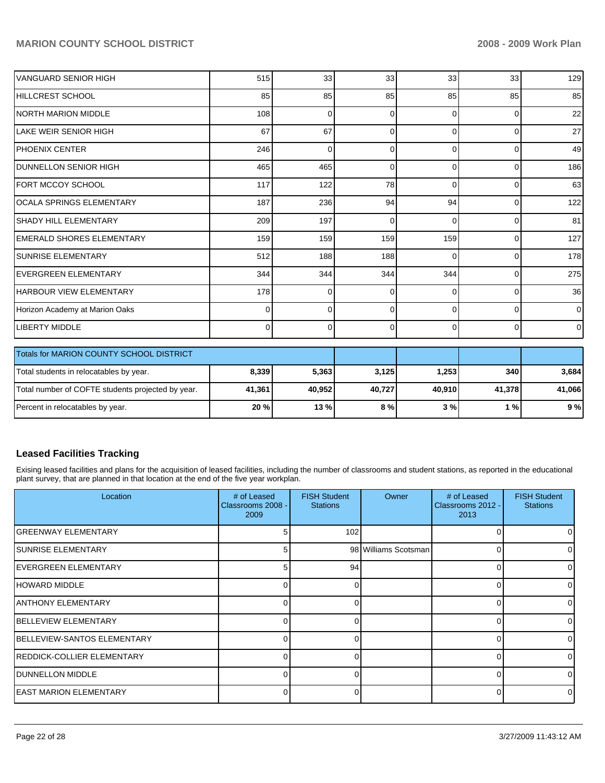| IVANGUARD SENIOR HIGH          | 515      | 33       | 33       | 33             | 33             | 129            |
|--------------------------------|----------|----------|----------|----------------|----------------|----------------|
| HILLCREST SCHOOL               | 85       | 85       | 85       | 85             | 85             | 85             |
| INORTH MARION MIDDLE           | 108      | $\Omega$ | $\Omega$ | $\Omega$       | $\Omega$       | 22             |
| llake weir senior high         | 67       | 67       | $\Omega$ | $\Omega$       | $\Omega$       | 27             |
| IPHOENIX CENTER                | 246      | $\Omega$ | $\Omega$ | $\Omega$       | 0              | 49             |
| <b>DUNNELLON SENIOR HIGH</b>   | 465      | 465      | $\Omega$ | $\Omega$       | $\overline{0}$ | 186            |
| FORT MCCOY SCHOOL              | 117      | 122      | 78       | $\Omega$       | 0              | 63             |
| OCALA SPRINGS ELEMENTARY       | 187      | 236      | 94       | 94             | $\overline{0}$ | 122            |
| <b>SHADY HILL ELEMENTARY</b>   | 209      | 197      | $\Omega$ | $\Omega$       | $\Omega$       | 81             |
| EMERALD SHORES ELEMENTARY      | 159      | 159      | 159      | 159            | 0              | 127            |
| ISUNRISE ELEMENTARY            | 512      | 188      | 188      | $\Omega$       | 0              | 178            |
| <b>IEVERGREEN ELEMENTARY</b>   | 344      | 344      | 344      | 344            | 0              | 275            |
| <b>HARBOUR VIEW ELEMENTARY</b> | 178      | $\Omega$ | $\Omega$ | $\Omega$       | $\Omega$       | 36             |
| Horizon Academy at Marion Oaks | 0        | $\Omega$ | $\Omega$ | $\Omega$       | $\mathbf 0$    | $\overline{0}$ |
| LIBERTY MIDDLE                 | $\Omega$ | 0        | 0        | $\overline{0}$ | $\overline{0}$ | $\overline{0}$ |

| <b>Totals for MARION COUNTY SCHOOL DISTRICT</b>   |        |        |        |        |            |        |
|---------------------------------------------------|--------|--------|--------|--------|------------|--------|
| Total students in relocatables by year.           | 8,339  | 5.363  | 3,125  | 1,253  | <b>340</b> | 3,684  |
| Total number of COFTE students projected by year. | 41,361 | 40.952 | 40,727 | 40.910 | 41.378     | 41,066 |
| Percent in relocatables by year.                  | 20%    | 13%    | 8%     | 3 % I  | 1 % I      | 9%     |

# **Leased Facilities Tracking**

Exising leased facilities and plans for the acquisition of leased facilities, including the number of classrooms and student stations, as reported in the educational plant survey, that are planned in that location at the end of the five year workplan.

| Location                            | # of Leased<br>Classrooms 2008 -<br>2009 | <b>FISH Student</b><br><b>Stations</b> | Owner                | # of Leased<br>Classrooms 2012 -<br>2013 | <b>FISH Student</b><br><b>Stations</b> |
|-------------------------------------|------------------------------------------|----------------------------------------|----------------------|------------------------------------------|----------------------------------------|
| IGREENWAY ELEMENTARY                | 5                                        | 102                                    |                      | 0                                        |                                        |
| ISUNRISE ELEMENTARY                 | 5                                        |                                        | 98 Williams Scotsman | 0                                        |                                        |
| IEVERGREEN ELEMENTARY               | 5                                        | 94                                     |                      | 0                                        |                                        |
| IHOWARD MIDDLE                      |                                          | 0                                      |                      | 0                                        |                                        |
| IANTHONY ELEMENTARY                 |                                          | 0                                      |                      | 0                                        |                                        |
| <b>IBELLEVIEW ELEMENTARY</b>        |                                          | 0                                      |                      | 0                                        | <sup>0</sup>                           |
| <b>IBELLEVIEW-SANTOS ELEMENTARY</b> | <sup>n</sup>                             | 0                                      |                      | $\Omega$                                 | $\Omega$                               |
| <b>REDDICK-COLLIER ELEMENTARY</b>   |                                          | $\Omega$                               |                      | $\Omega$                                 | $\Omega$                               |
| <b>IDUNNELLON MIDDLE</b>            | <sup>n</sup>                             | $\Omega$                               |                      | 0                                        |                                        |
| <b>IEAST MARION ELEMENTARY</b>      |                                          | U                                      |                      | 0                                        |                                        |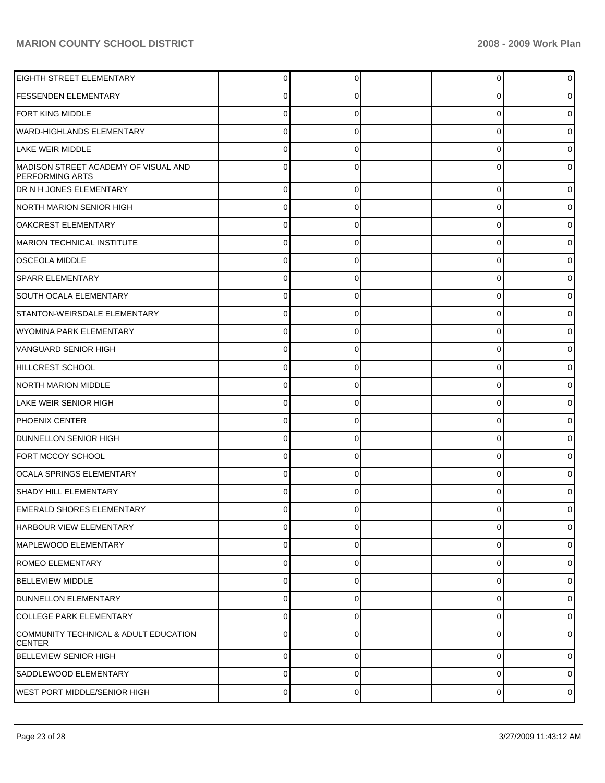| <b>EIGHTH STREET ELEMENTARY</b>                                | $\mathbf 0$  | 0           | 0           | 0              |
|----------------------------------------------------------------|--------------|-------------|-------------|----------------|
| <b>FESSENDEN ELEMENTARY</b>                                    | 0            | 0           | 0           | 0              |
| <b>FORT KING MIDDLE</b>                                        | $\mathbf 0$  | 0           | 0           | o              |
| <b>WARD-HIGHLANDS ELEMENTARY</b>                               | $\mathbf 0$  | 0           | 0           | 0              |
| LAKE WEIR MIDDLE                                               | $\mathbf 0$  | 0           | 0           |                |
| MADISON STREET ACADEMY OF VISUAL AND<br><b>PERFORMING ARTS</b> | $\Omega$     | 0           | 0           | o              |
| DR N H JONES ELEMENTARY                                        | $\mathbf 0$  | 0           | 0           |                |
| NORTH MARION SENIOR HIGH                                       | $\mathbf 0$  | 0           | 0           | 0              |
| <b>OAKCREST ELEMENTARY</b>                                     | $\mathbf 0$  | 0           | 0           | 0              |
| MARION TECHNICAL INSTITUTE                                     | $\mathbf 0$  | 0           | 0           |                |
| <b>OSCEOLA MIDDLE</b>                                          | 0            | 0           | 0           |                |
| SPARR ELEMENTARY                                               | $\mathbf 0$  | 0           | 0           |                |
| SOUTH OCALA ELEMENTARY                                         | $\mathbf 0$  | 0           | 0           | 0              |
| STANTON-WEIRSDALE ELEMENTARY                                   | $\mathbf 0$  | 0           | 0           |                |
| WYOMINA PARK ELEMENTARY                                        | $\mathbf 0$  | 0           | 0           | o              |
| <b>VANGUARD SENIOR HIGH</b>                                    | $\mathbf 0$  | 0           | 0           |                |
| HILLCREST SCHOOL                                               | $\mathbf 0$  | 0           | 0           | 0              |
| NORTH MARION MIDDLE                                            | $\mathbf 0$  | 0           | 0           |                |
| LAKE WEIR SENIOR HIGH                                          | $\mathbf 0$  | 0           | 0           | o              |
| <b>PHOENIX CENTER</b>                                          | $\mathbf 0$  | 0           | 0           |                |
| <b>DUNNELLON SENIOR HIGH</b>                                   | $\mathbf 0$  | 0           | 0           | 0              |
| FORT MCCOY SCHOOL                                              | $\mathbf 0$  | 0           | 0           | 0              |
| <b>OCALA SPRINGS ELEMENTARY</b>                                | $\mathbf 0$  | 0           | 0           | o              |
| SHADY HILL ELEMENTARY                                          | $\Omega$     | 0           | $\Omega$    |                |
| <b>EMERALD SHORES ELEMENTARY</b>                               | 0            | 0           | 0           | 0              |
| <b>HARBOUR VIEW ELEMENTARY</b>                                 | $\mathbf 0$  | 0           | 0           | 0              |
| MAPLEWOOD ELEMENTARY                                           | $\mathbf{0}$ | 0           | 0           | 0              |
| ROMEO ELEMENTARY                                               | $\pmb{0}$    | 0           | 0           | $\mathbf 0$    |
| <b>BELLEVIEW MIDDLE</b>                                        | $\pmb{0}$    | 0           | 0           | 0              |
| DUNNELLON ELEMENTARY                                           | $\pmb{0}$    | $\mathbf 0$ | 0           | 0              |
| <b>COLLEGE PARK ELEMENTARY</b>                                 | $\mathbf 0$  | 0           | 0           | 0              |
| COMMUNITY TECHNICAL & ADULT EDUCATION<br><b>CENTER</b>         | $\pmb{0}$    | 0           | 0           | 0              |
| <b>BELLEVIEW SENIOR HIGH</b>                                   | $\mathbf 0$  | $\Omega$    | $\mathbf 0$ | $\Omega$       |
| SADDLEWOOD ELEMENTARY                                          | $\mathbf 0$  | $\mathbf 0$ | 0           | 0              |
| WEST PORT MIDDLE/SENIOR HIGH                                   | $\pmb{0}$    | $\mathbf 0$ | 0           | $\overline{0}$ |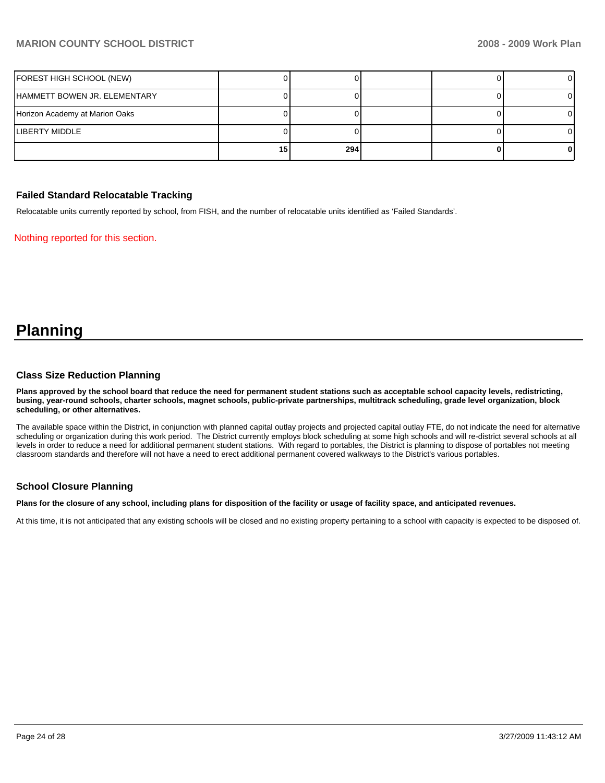| FOREST HIGH SCHOOL (NEW)       |    |     |  |  |
|--------------------------------|----|-----|--|--|
| IHAMMETT BOWEN JR. ELEMENTARY  |    |     |  |  |
| Horizon Academy at Marion Oaks |    |     |  |  |
| LIBERTY MIDDLE                 |    |     |  |  |
|                                | 15 | 294 |  |  |

### **Failed Standard Relocatable Tracking**

Relocatable units currently reported by school, from FISH, and the number of relocatable units identified as 'Failed Standards'.

Nothing reported for this section.

# **Planning**

### **Class Size Reduction Planning**

**Plans approved by the school board that reduce the need for permanent student stations such as acceptable school capacity levels, redistricting, busing, year-round schools, charter schools, magnet schools, public-private partnerships, multitrack scheduling, grade level organization, block scheduling, or other alternatives.** 

The available space within the District, in conjunction with planned capital outlay projects and projected capital outlay FTE, do not indicate the need for alternative scheduling or organization during this work period. The District currently employs block scheduling at some high schools and will re-district several schools at all levels in order to reduce a need for additional permanent student stations. With regard to portables, the District is planning to dispose of portables not meeting classroom standards and therefore will not have a need to erect additional permanent covered walkways to the District's various portables.

### **School Closure Planning**

**Plans for the closure of any school, including plans for disposition of the facility or usage of facility space, and anticipated revenues.** 

At this time, it is not anticipated that any existing schools will be closed and no existing property pertaining to a school with capacity is expected to be disposed of.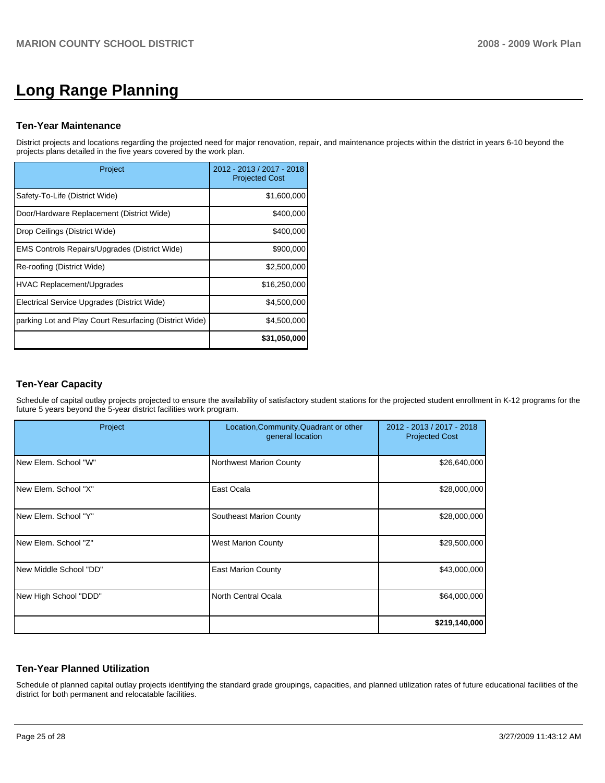# **Long Range Planning**

### **Ten-Year Maintenance**

District projects and locations regarding the projected need for major renovation, repair, and maintenance projects within the district in years 6-10 beyond the projects plans detailed in the five years covered by the work plan.

| Project                                                | 2012 - 2013 / 2017 - 2018<br><b>Projected Cost</b> |
|--------------------------------------------------------|----------------------------------------------------|
| Safety-To-Life (District Wide)                         | \$1,600,000                                        |
| Door/Hardware Replacement (District Wide)              | \$400,000                                          |
| Drop Ceilings (District Wide)                          | \$400,000                                          |
| EMS Controls Repairs/Upgrades (District Wide)          | \$900,000                                          |
| Re-roofing (District Wide)                             | \$2,500,000                                        |
| HVAC Replacement/Upgrades                              | \$16,250,000                                       |
| Electrical Service Upgrades (District Wide)            | \$4,500,000                                        |
| parking Lot and Play Court Resurfacing (District Wide) | \$4,500,000                                        |
|                                                        | \$31,050,000                                       |

# **Ten-Year Capacity**

Schedule of capital outlay projects projected to ensure the availability of satisfactory student stations for the projected student enrollment in K-12 programs for the future 5 years beyond the 5-year district facilities work program.

| Project                | Location, Community, Quadrant or other<br>general location | 2012 - 2013 / 2017 - 2018<br><b>Projected Cost</b> |
|------------------------|------------------------------------------------------------|----------------------------------------------------|
| New Elem. School "W"   | <b>Northwest Marion County</b>                             | \$26,640,000                                       |
| New Elem. School "X"   | East Ocala                                                 | \$28,000,000                                       |
| New Elem. School "Y"   | Southeast Marion County                                    | \$28,000,000                                       |
| New Elem. School "Z"   | <b>West Marion County</b>                                  | \$29,500,000                                       |
| New Middle School "DD" | <b>East Marion County</b>                                  | \$43,000,000                                       |
| New High School "DDD"  | North Central Ocala                                        | \$64,000,000                                       |
|                        |                                                            | \$219,140,000                                      |

# **Ten-Year Planned Utilization**

Schedule of planned capital outlay projects identifying the standard grade groupings, capacities, and planned utilization rates of future educational facilities of the district for both permanent and relocatable facilities.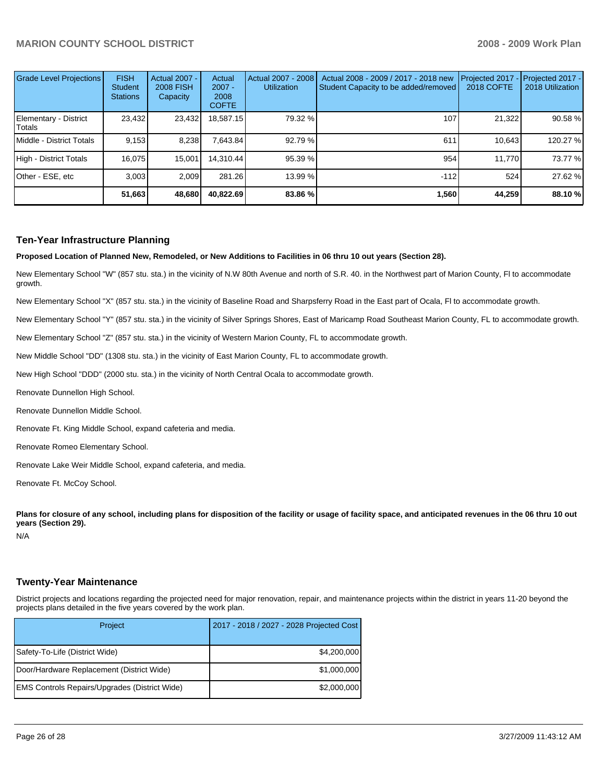| Grade Level Projections         | <b>FISH</b><br><b>Student</b><br><b>Stations</b> | <b>Actual 2007 -</b><br><b>2008 FISH</b><br>Capacity | Actual<br>$2007 -$<br>2008<br><b>COFTE</b> | Actual 2007 - 2008<br><b>Utilization</b> | Actual 2008 - 2009 / 2017 - 2018 new<br>Student Capacity to be added/removed | Projected 2017<br><b>2018 COFTE</b> | $-$ Projected 2017 -<br>2018 Utilization |
|---------------------------------|--------------------------------------------------|------------------------------------------------------|--------------------------------------------|------------------------------------------|------------------------------------------------------------------------------|-------------------------------------|------------------------------------------|
| Elementary - District<br>Totals | 23,432                                           | 23,432                                               | 18,587.15                                  | 79.32 %                                  | 107                                                                          | 21,322                              | 90.58 %                                  |
| Middle - District Totals        | 9,153                                            | 8,238                                                | 7,643.84                                   | 92.79 %                                  | 611                                                                          | 10.643                              | 120.27 %                                 |
| High - District Totals          | 16.075                                           | 15.001                                               | 14.310.44                                  | 95.39 %                                  | 954                                                                          | 11.770                              | 73.77 %                                  |
| Other - ESE, etc                | 3.003                                            | 2.009                                                | 281.26                                     | 13.99 %                                  | $-112$                                                                       | 524                                 | 27.62 %                                  |
|                                 | 51,663                                           | 48,680                                               | 40,822.69                                  | 83.86 %                                  | 1.560                                                                        | 44.259                              | 88.10 %                                  |

### **Ten-Year Infrastructure Planning**

**Proposed Location of Planned New, Remodeled, or New Additions to Facilities in 06 thru 10 out years (Section 28).** 

New Elementary School "W" (857 stu. sta.) in the vicinity of N.W 80th Avenue and north of S.R. 40. in the Northwest part of Marion County, Fl to accommodate growth.

New Elementary School "X" (857 stu. sta.) in the vicinity of Baseline Road and Sharpsferry Road in the East part of Ocala, Fl to accommodate growth.

New Elementary School "Y" (857 stu. sta.) in the vicinity of Silver Springs Shores, East of Maricamp Road Southeast Marion County, FL to accommodate growth.

New Elementary School "Z" (857 stu. sta.) in the vicinity of Western Marion County, FL to accommodate growth.

New Middle School "DD" (1308 stu. sta.) in the vicinity of East Marion County, FL to accommodate growth.

New High School "DDD" (2000 stu. sta.) in the vicinity of North Central Ocala to accommodate growth.

Renovate Dunnellon High School.

Renovate Dunnellon Middle School.

Renovate Ft. King Middle School, expand cafeteria and media.

Renovate Romeo Elementary School.

Renovate Lake Weir Middle School, expand cafeteria, and media.

Renovate Ft. McCoy School.

Plans for closure of any school, including plans for disposition of the facility or usage of facility space, and anticipated revenues in the 06 thru 10 out **years (Section 29).** 

N/A

### **Twenty-Year Maintenance**

District projects and locations regarding the projected need for major renovation, repair, and maintenance projects within the district in years 11-20 beyond the projects plans detailed in the five years covered by the work plan.

| Project                                       | 2017 - 2018 / 2027 - 2028 Projected Cost |
|-----------------------------------------------|------------------------------------------|
| Safety-To-Life (District Wide)                | \$4,200,000                              |
| Door/Hardware Replacement (District Wide)     | \$1,000,000                              |
| EMS Controls Repairs/Upgrades (District Wide) | \$2,000,000                              |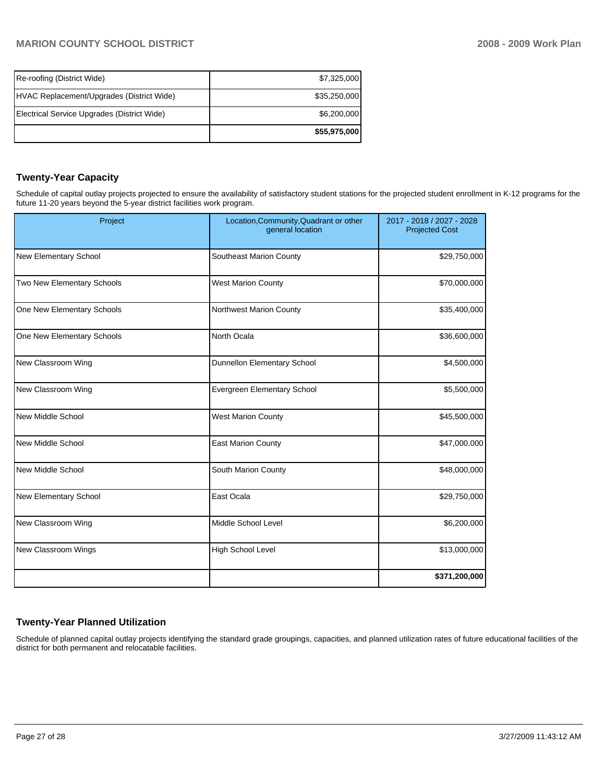| Re-roofing (District Wide)                  | \$7,325,000  |
|---------------------------------------------|--------------|
| HVAC Replacement/Upgrades (District Wide)   | \$35,250,000 |
| Electrical Service Upgrades (District Wide) | \$6,200,000  |
|                                             | \$55,975,000 |

# **Twenty-Year Capacity**

Schedule of capital outlay projects projected to ensure the availability of satisfactory student stations for the projected student enrollment in K-12 programs for the future 11-20 years beyond the 5-year district facilities work program.

| Project                      | Location, Community, Quadrant or other<br>general location | 2017 - 2018 / 2027 - 2028<br><b>Projected Cost</b> |
|------------------------------|------------------------------------------------------------|----------------------------------------------------|
| New Elementary School        | Southeast Marion County                                    | \$29,750,000                                       |
| Two New Elementary Schools   | <b>West Marion County</b>                                  | \$70,000,000                                       |
| One New Elementary Schools   | Northwest Marion County                                    | \$35,400,000                                       |
| One New Elementary Schools   | North Ocala                                                | \$36,600,000                                       |
| New Classroom Wing           | Dunnellon Elementary School                                | \$4,500,000                                        |
| New Classroom Wing           | Evergreen Elementary School                                | \$5,500,000                                        |
| <b>New Middle School</b>     | <b>West Marion County</b>                                  | \$45,500,000                                       |
| <b>New Middle School</b>     | <b>East Marion County</b>                                  | \$47,000,000                                       |
| <b>New Middle School</b>     | South Marion County                                        | \$48,000,000                                       |
| <b>New Elementary School</b> | East Ocala                                                 | \$29,750,000                                       |
| New Classroom Wing           | Middle School Level                                        | \$6,200,000                                        |
| New Classroom Wings          | High School Level                                          | \$13,000,000                                       |
|                              |                                                            | \$371,200,000                                      |

# **Twenty-Year Planned Utilization**

Schedule of planned capital outlay projects identifying the standard grade groupings, capacities, and planned utilization rates of future educational facilities of the district for both permanent and relocatable facilities.